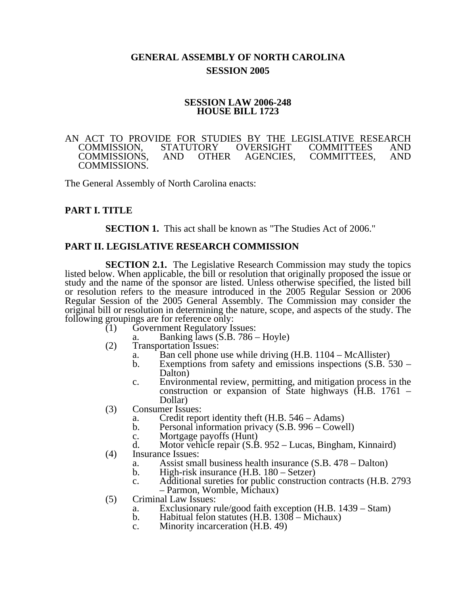# **GENERAL ASSEMBLY OF NORTH CAROLINA SESSION 2005**

### **SESSION LAW 2006-248 HOUSE BILL 1723**

#### AN ACT TO PROVIDE FOR STUDIES BY THE LEGISLATIVE RESEARCH COMMISSION, STATUTORY OVERSIGHT COMMITTEES AND COMMISSION, STATUTORY OVERSIGHT COMMITTEES AND COMMITTEES, COMMISSIONS.

The General Assembly of North Carolina enacts:

## **PART I. TITLE**

**SECTION 1.** This act shall be known as "The Studies Act of 2006."

### **PART II. LEGISLATIVE RESEARCH COMMISSION**

**SECTION 2.1.** The Legislative Research Commission may study the topics listed below. When applicable, the bill or resolution that originally proposed the issue or study and the name of the sponsor are listed. Unless otherwise specified, the listed bill or resolution refers to the measure introduced in the 2005 Regular Session or 2006 Regular Session of the 2005 General Assembly. The Commission may consider the original bill or resolution in determining the nature, scope, and aspects of the study. The following groupings are for reference only:<br>(1) Government Regulatory Is

- (1) Government Regulatory Issues:
	- a. Banking laws (S.B. 786 Hoyle)
- (2) Transportation Issues:
	- a. Ban cell phone use while driving  $(H.B. 1104 McAllister)$ <br>b. Exemptions from safety and emissions inspections  $(S.B. 5$ 
		- Exemptions from safety and emissions inspections  $(S.B. 530 -$ Dalton)
	- c. Environmental review, permitting, and mitigation process in the construction or expansion of State highways (H.B. 1761 – Dollar)
- (3) Consumer Issues:
	- a. Credit report identity theft (H.B. 546 Adams)
	- b. Personal information privacy (S.B. 996 Cowell)
	- c. Mortgage payoffs (Hunt)
	- d. Motor vehicle repair (S.B. 952 Lucas, Bingham, Kinnaird)
- (4) Insurance Issues:
	- a. Assist small business health insurance (S.B. 478 Dalton)
	- b. High-risk insurance (H.B. 180 Setzer)
	- c. Additional sureties for public construction contracts (H.B. 2793 – Parmon, Womble, Michaux)
- (5) Criminal Law Issues:
	- a. Exclusionary rule/good faith exception (H.B. 1439 Stam)<br>b. Habitual felon statutes (H.B. 1308 Michaux)
	- Habitual felon statutes (H.B.  $1308 -$ Michaux)
	- c. Minority incarceration (H.B. 49)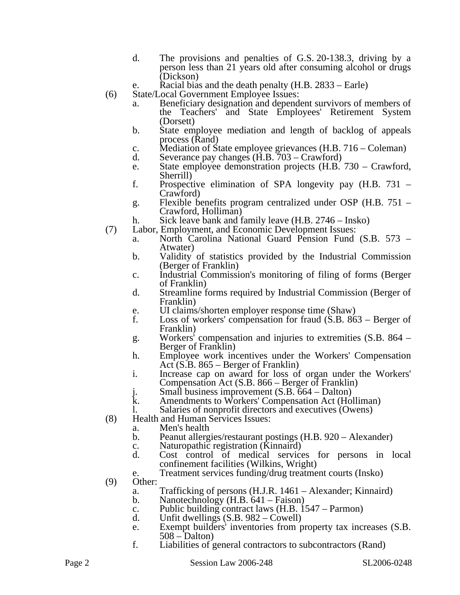- d. The provisions and penalties of G.S. 20-138.3, driving by a person less than 21 years old after consuming alcohol or drugs (Dickson)
- e. Racial bias and the death penalty (H.B. 2833 Earle)
- (6) State/Local Government Employee Issues:
	- a. Beneficiary designation and dependent survivors of members of the Teachers' and State Employees' Retirement System (Dorsett)
	- b. State employee mediation and length of backlog of appeals process (Rand)
	- c. Mediation of State employee grievances (H.B. 716 Coleman)<br>d. Severance pay changes (H.B. 703 Crawford)
	- Severance pay changes  $(H.B. 703 Crawford)$
	- e. State employee demonstration projects (H.B. 730 Crawford, Sherrill)
	- f. Prospective elimination of SPA longevity pay (H.B. 731 Crawford)
	- g. Flexible benefits program centralized under OSP (H.B. 751 Crawford, Holliman)
	- h. Sick leave bank and family leave (H.B. 2746 Insko)
- (7) Labor, Employment, and Economic Development Issues:
	- a. North Carolina National Guard Pension Fund (S.B. 573 Atwater)
	- b. Validity of statistics provided by the Industrial Commission (Berger of Franklin)
	- c. Industrial Commission's monitoring of filing of forms (Berger of Franklin)
	- d. Streamline forms required by Industrial Commission (Berger of Franklin)
	- e. UI claims/shorten employer response time (Shaw)
	- f. Loss of workers' compensation for fraud (S.B. 863 Berger of Franklin)
	- g. Workers' compensation and injuries to extremities (S.B. 864 Berger of Franklin)
	- h. Employee work incentives under the Workers' Compensation Act (S.B. 865 – Berger of Franklin)
	- i. Increase cap on award for loss of organ under the Workers' Compensation Act (S.B. 866 – Berger of Franklin)
	- j. Small business improvement (S.B. 664 Dalton)<br>k. Amendments to Workers' Compensation Act (Ho.
	- Amendments to Workers' Compensation Act (Holliman)
	- l. Salaries of nonprofit directors and executives (Owens)
- (8) Health and Human Services Issues:
	- a. Men's health
	- b. Peanut allergies/restaurant postings (H.B. 920 Alexander)
	- c. Naturopathic registration (Kinnaird)<br>d. Cost control of medical service
	- Cost control of medical services for persons in local confinement facilities (Wilkins, Wright)
	- e. Treatment services funding/drug treatment courts (Insko)

(9) Other:

- a. Trafficking of persons (H.J.R. 1461 Alexander; Kinnaird)
- b. Nanotechnology (H.B. 641 Faison)
- c. Public building contract laws (H.B. 1547 Parmon)
- d. Unfit dwellings (S.B. 982 Cowell)
- e. Exempt builders' inventories from property tax increases (S.B. 508 – Dalton)
- f. Liabilities of general contractors to subcontractors (Rand)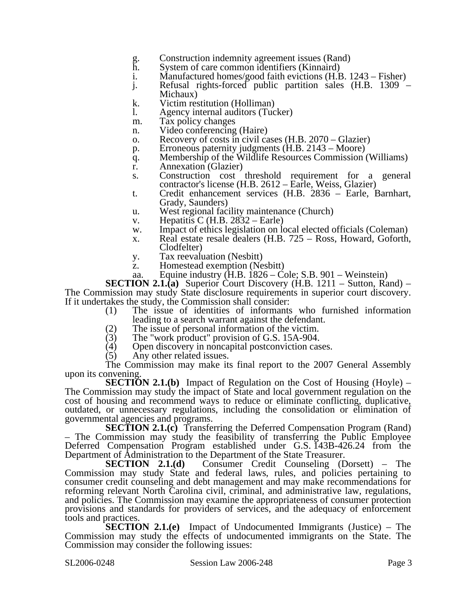- g. Construction indemnity agreement issues (Rand)
- System of care common identifiers (Kinnaird)
- i. Manufactured homes/good faith evictions (H.B. 1243 Fisher)
- j. Refusal rights-forced public partition sales (H.B. 1309
	- Michaux)
- k. Victim restitution (Holliman)
- l. Agency internal auditors (Tucker)
- m. Tax policy changes
- n. Video conferencing (Haire)
- o. Recovery of costs in civil cases (H.B. 2070 Glazier)
- p. Erroneous paternity judgments (H.B. 2143 Moore)
- q. Membership of the Wildlife Resources Commission (Williams)
- r. Annexation (Glazier)
- s. Construction cost threshold requirement for a general contractor's license (H.B. 2612 – Earle, Weiss, Glazier)
- t. Credit enhancement services (H.B. 2836 Earle, Barnhart, Grady, Saunders)
- u. West regional facility maintenance (Church)
- v. Hepatitis C (H.B.  $2832 -$  Earle)
- w. Impact of ethics legislation on local elected officials (Coleman)
- x. Real estate resale dealers (H.B. 725 Ross, Howard, Goforth, Clodfelter)
- y. Tax reevaluation (Nesbitt)
- z. Homestead exemption (Nesbitt)
- aa. Equine industry (H.B. 1826 Cole; S.B. 901 Weinstein)

**SECTION 2.1.(a)** Superior Court Discovery (H.B. 1211 – Sutton, Rand) – The Commission may study State disclosure requirements in superior court discovery. If it undertakes the study, the Commission shall consider:

- (1) The issue of identities of informants who furnished information leading to a search warrant against the defendant.
- 
- (2) The issue of personal information of the victim.<br>(3) The "work product" provision of G.S. 15A-904. (3) The "work product" provision of G.S. 15A-904.
- (4) Open discovery in noncapital postconviction cases.<br>(5) Any other related issues.
- Any other related issues.

The Commission may make its final report to the 2007 General Assembly upon its convening.

**SECTION 2.1.(b)** Impact of Regulation on the Cost of Housing (Hoyle) – The Commission may study the impact of State and local government regulation on the cost of housing and recommend ways to reduce or eliminate conflicting, duplicative, outdated, or unnecessary regulations, including the consolidation or elimination of governmental agencies and programs.

**SECTION 2.1.(c)** Transferring the Deferred Compensation Program (Rand) – The Commission may study the feasibility of transferring the Public Employee Deferred Compensation Program established under G.S. 143B-426.24 from the Department of Administration to the Department of the State Treasurer.<br>SECTION 2.1.(d) Consumer Credit Counseling (L

Consumer Credit Counseling (Dorsett) – The Commission may study State and federal laws, rules, and policies pertaining to consumer credit counseling and debt management and may make recommendations for reforming relevant North Carolina civil, criminal, and administrative law, regulations, and policies. The Commission may examine the appropriateness of consumer protection provisions and standards for providers of services, and the adequacy of enforcement tools and practices.

**SECTION 2.1.(e)** Impact of Undocumented Immigrants (Justice) – The Commission may study the effects of undocumented immigrants on the State. The Commission may consider the following issues: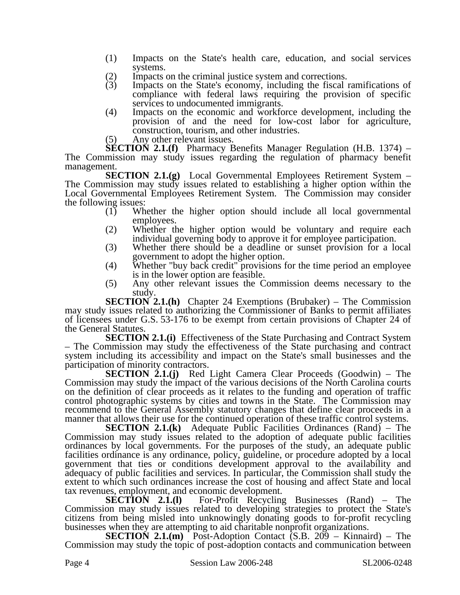- (1) Impacts on the State's health care, education, and social services systems.
- (2) Impacts on the criminal justice system and corrections.
- (3) Impacts on the State's economy, including the fiscal ramifications of compliance with federal laws requiring the provision of specific services to undocumented immigrants.
- (4) Impacts on the economic and workforce development, including the provision of and the need for low-cost labor for agriculture, construction, tourism, and other industries.
- (5) Any other relevant issues.

**SECTION 2.1.(f)** Pharmacy Benefits Manager Regulation (H.B. 1374) – The Commission may study issues regarding the regulation of pharmacy benefit management.

**SECTION 2.1.(g)** Local Governmental Employees Retirement System – The Commission may study issues related to establishing a higher option within the Local Governmental Employees Retirement System. The Commission may consider the following issues:

- (1) Whether the higher option should include all local governmental employees.
- (2) Whether the higher option would be voluntary and require each individual governing body to approve it for employee participation.
- (3) Whether there should be a deadline or sunset provision for a local government to adopt the higher option.
- (4) Whether "buy back credit" provisions for the time period an employee is in the lower option are feasible.
- (5) Any other relevant issues the Commission deems necessary to the study.

**SECTION 2.1.(h)** Chapter 24 Exemptions (Brubaker) – The Commission may study issues related to authorizing the Commissioner of Banks to permit affiliates of licensees under G.S. 53-176 to be exempt from certain provisions of Chapter 24 of the General Statutes.

**SECTION 2.1.(i)** Effectiveness of the State Purchasing and Contract System – The Commission may study the effectiveness of the State purchasing and contract system including its accessibility and impact on the State's small businesses and the participation of minority contractors.

**SECTION 2.1.(j)** Red Light Camera Clear Proceeds (Goodwin) – The Commission may study the impact of the various decisions of the North Carolina courts on the definition of clear proceeds as it relates to the funding and operation of traffic control photographic systems by cities and towns in the State. The Commission may recommend to the General Assembly statutory changes that define clear proceeds in a manner that allows their use for the continued operation of these traffic control systems.

**SECTION 2.1.(k)** Adequate Public Facilities Ordinances (Rand) – The Commission may study issues related to the adoption of adequate public facilities ordinances by local governments. For the purposes of the study, an adequate public facilities ordinance is any ordinance, policy, guideline, or procedure adopted by a local government that ties or conditions development approval to the availability and adequacy of public facilities and services. In particular, the Commission shall study the extent to which such ordinances increase the cost of housing and affect State and local tax revenues, employment, and economic development.<br> **SECTION** 2.1.(1) For-Profit Recycling

For-Profit Recycling Businesses (Rand) – The Commission may study issues related to developing strategies to protect the State's citizens from being misled into unknowingly donating goods to for-profit recycling businesses when they are attempting to aid charitable nonprofit organizations.

**SECTION 2.1.(m)** Post-Adoption Contact (S.B. 209 – Kinnaird) – The Commission may study the topic of post-adoption contacts and communication between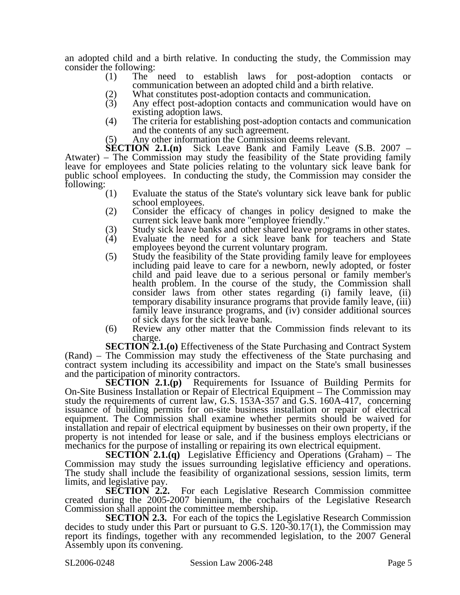an adopted child and a birth relative. In conducting the study, the Commission may consider the following:

- (1) The need to establish laws for post-adoption contacts or communication between an adopted child and a birth relative.
- (2) What constitutes post-adoption contacts and communication.<br>
(3) Any effect post-adoption contacts and communication would
- Any effect post-adoption contacts and communication would have on existing adoption laws.
- (4) The criteria for establishing post-adoption contacts and communication and the contents of any such agreement.
- (5) Any other information the Commission deems relevant.<br>**SECTION 2.1.(n)** Sick Leave Bank and Family Leave

Sick Leave Bank and Family Leave (S.B. 2007 – Atwater) – The Commission may study the feasibility of the State providing family leave for employees and State policies relating to the voluntary sick leave bank for public school employees. In conducting the study, the Commission may consider the following:  $(1)$ 

- Evaluate the status of the State's voluntary sick leave bank for public school employees.
- (2) Consider the efficacy of changes in policy designed to make the current sick leave bank more "employee friendly."
- 
- (3) Study sick leave banks and other shared leave programs in other states.<br>
(4) Evaluate the need for a sick leave bank for teachers and State Evaluate the need for a sick leave bank for teachers and State employees beyond the current voluntary program.
- (5) Study the feasibility of the State providing family leave for employees including paid leave to care for a newborn, newly adopted, or foster child and paid leave due to a serious personal or family member's health problem. In the course of the study, the Commission shall consider laws from other states regarding (i) family leave, (ii) temporary disability insurance programs that provide family leave, (iii) family leave insurance programs, and (iv) consider additional sources of sick days for the sick leave bank.
- (6) Review any other matter that the Commission finds relevant to its charge.

**SECTION 2.1.(o)** Effectiveness of the State Purchasing and Contract System (Rand) – The Commission may study the effectiveness of the State purchasing and contract system including its accessibility and impact on the State's small businesses and the participation of minority contractors.

**SECTION 2.1.(p)** Requirements for Issuance of Building Permits for On-Site Business Installation or Repair of Electrical Equipment – The Commission may study the requirements of current law, G.S. 153A-357 and G.S. 160A-417, concerning issuance of building permits for on-site business installation or repair of electrical equipment. The Commission shall examine whether permits should be waived for installation and repair of electrical equipment by businesses on their own property, if the property is not intended for lease or sale, and if the business employs electricians or mechanics for the purpose of installing or repairing its own electrical equipment.

**SECTION 2.1.(q)** Legislative Efficiency and Operations (Graham) – The Commission may study the issues surrounding legislative efficiency and operations. The study shall include the feasibility of organizational sessions, session limits, term limits, and legislative pay.

**SECTION 2.2.** For each Legislative Research Commission committee created during the 2005-2007 biennium, the cochairs of the Legislative Research Commission shall appoint the committee membership.

**SECTION 2.3.** For each of the topics the Legislative Research Commission decides to study under this Part or pursuant to G.S. 120-30.17(1), the Commission may report its findings, together with any recommended legislation, to the 2007 General Assembly upon its convening.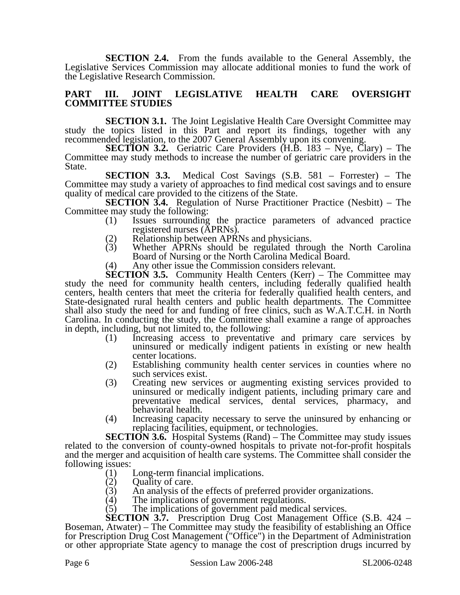**SECTION 2.4.** From the funds available to the General Assembly, the Legislative Services Commission may allocate additional monies to fund the work of the Legislative Research Commission.

### **PART III. JOINT LEGISLATIVE HEALTH CARE OVERSIGHT COMMITTEE STUDIES**

**SECTION 3.1.** The Joint Legislative Health Care Oversight Committee may study the topics listed in this Part and report its findings, together with any recommended legislation, to the 2007 General Assembly upon its convening.

**SECTION 3.2.** Geriatric Care Providers (H.B. 183 – Nye, Clary) – The Committee may study methods to increase the number of geriatric care providers in the State.

**SECTION 3.3.** Medical Cost Savings (S.B. 581 – Forrester) – The Committee may study a variety of approaches to find medical cost savings and to ensure quality of medical care provided to the citizens of the State.

**SECTION 3.4.** Regulation of Nurse Practitioner Practice (Nesbitt) – The Committee may study the following:

- (1) Issues surrounding the practice parameters of advanced practice registered nurses (APRNs).
- (2) Relationship between APRNs and physicians.<br>(3) Whether APRNs should be regulated throu
- Whether APRNs should be regulated through the North Carolina Board of Nursing or the North Carolina Medical Board.
- (4) Any other issue the Commission considers relevant.

**SECTION 3.5.** Community Health Centers (Kerr) – The Committee may study the need for community health centers, including federally qualified health centers, health centers that meet the criteria for federally qualified health centers, and State-designated rural health centers and public health departments. The Committee shall also study the need for and funding of free clinics, such as W.A.T.C.H. in North Carolina. In conducting the study, the Committee shall examine a range of approaches in depth, including, but not limited to, the following:

- (1) Increasing access to preventative and primary care services by uninsured or medically indigent patients in existing or new health center locations.
- (2) Establishing community health center services in counties where no such services exist.
- (3) Creating new services or augmenting existing services provided to uninsured or medically indigent patients, including primary care and preventative medical services, dental services, pharmacy, and behavioral health.
- (4) Increasing capacity necessary to serve the uninsured by enhancing or replacing facilities, equipment, or technologies.

**SECTION 3.6.** Hospital Systems (Rand) – The Committee may study issues related to the conversion of county-owned hospitals to private not-for-profit hospitals and the merger and acquisition of health care systems. The Committee shall consider the following issues:

- (1) Long-term financial implications.
- 
- (2) Quality of care.<br>(3) An analysis of the (3) An analysis of the effects of preferred provider organizations.<br>(4) The implications of government regulations.
- The implications of government regulations.
- (5) The implications of government paid medical services.

**SECTION 3.7.** Prescription Drug Cost Management Office (S.B. 424 – Boseman, Atwater) – The Committee may study the feasibility of establishing an Office for Prescription Drug Cost Management ("Office") in the Department of Administration or other appropriate State agency to manage the cost of prescription drugs incurred by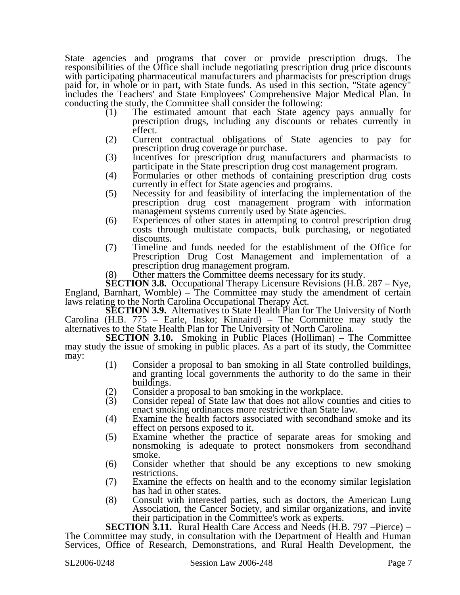State agencies and programs that cover or provide prescription drugs. The responsibilities of the Office shall include negotiating prescription drug price discounts with participating pharmaceutical manufacturers and pharmacists for prescription drugs paid for, in whole or in part, with State funds. As used in this section, "State agency" includes the Teachers' and State Employees' Comprehensive Major Medical Plan. In conducting the study, the Committee shall consider the following:

- (1) The estimated amount that each State agency pays annually for prescription drugs, including any discounts or rebates currently in effect.
- (2) Current contractual obligations of State agencies to pay for prescription drug coverage or purchase.
- (3) Incentives for prescription drug manufacturers and pharmacists to participate in the State prescription drug cost management program.
- (4) Formularies or other methods of containing prescription drug costs currently in effect for State agencies and programs.
- (5) Necessity for and feasibility of interfacing the implementation of the prescription drug cost management program with information management systems currently used by State agencies.
- (6) Experiences of other states in attempting to control prescription drug costs through multistate compacts, bulk purchasing, or negotiated discounts.
- (7) Timeline and funds needed for the establishment of the Office for Prescription Drug Cost Management and implementation of a prescription drug management program.
- (8) Other matters the Committee deems necessary for its study.

**SECTION 3.8.** Occupational Therapy Licensure Revisions (H.B. 287 – Nye, England, Barnhart, Womble) – The Committee may study the amendment of certain laws relating to the North Carolina Occupational Therapy Act.

**SECTION 3.9.** Alternatives to State Health Plan for The University of North Carolina (H.B. 775 – Earle, Insko; Kinnaird) – The Committee may study the alternatives to the State Health Plan for The University of North Carolina.

**SECTION 3.10.** Smoking in Public Places (Holliman) – The Committee may study the issue of smoking in public places. As a part of its study, the Committee may:

- (1) Consider a proposal to ban smoking in all State controlled buildings, and granting local governments the authority to do the same in their buildings.
- (2) Consider a proposal to ban smoking in the workplace.<br>(3) Consider repeal of State law that does not allow coun
- Consider repeal of State law that does not allow counties and cities to enact smoking ordinances more restrictive than State law.
- (4) Examine the health factors associated with secondhand smoke and its effect on persons exposed to it.
- (5) Examine whether the practice of separate areas for smoking and nonsmoking is adequate to protect nonsmokers from secondhand smoke.
- (6) Consider whether that should be any exceptions to new smoking restrictions.
- (7) Examine the effects on health and to the economy similar legislation has had in other states.
- (8) Consult with interested parties, such as doctors, the American Lung Association, the Cancer Society, and similar organizations, and invite their participation in the Committee's work as experts.

**SECTION 3.11.** Rural Health Care Access and Needs (H.B. 797 –Pierce) – The Committee may study, in consultation with the Department of Health and Human Services, Office of Research, Demonstrations, and Rural Health Development, the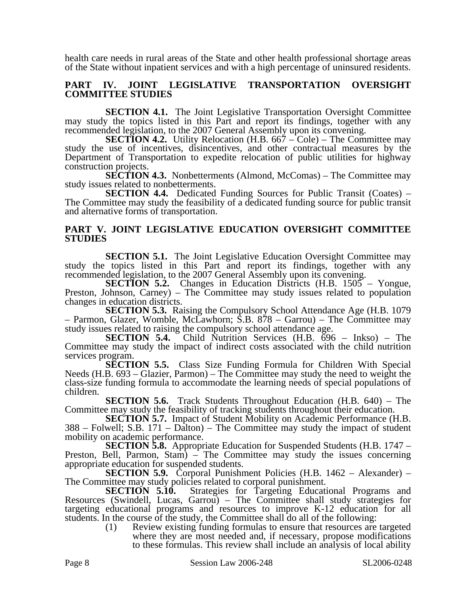health care needs in rural areas of the State and other health professional shortage areas of the State without inpatient services and with a high percentage of uninsured residents.

## **PART IV. JOINT LEGISLATIVE TRANSPORTATION OVERSIGHT COMMITTEE STUDIES**

**SECTION 4.1.** The Joint Legislative Transportation Oversight Committee may study the topics listed in this Part and report its findings, together with any recommended legislation, to the 2007 General Assembly upon its convening.

**SECTION 4.2.** Utility Relocation (H.B. 667 – Cole) – The Committee may study the use of incentives, disincentives, and other contractual measures by the Department of Transportation to expedite relocation of public utilities for highway construction projects.

**SECTION 4.3.** Nonbetterments (Almond, McComas) – The Committee may study issues related to nonbetterments.

**SECTION 4.4.** Dedicated Funding Sources for Public Transit (Coates) – The Committee may study the feasibility of a dedicated funding source for public transit and alternative forms of transportation.

### **PART V. JOINT LEGISLATIVE EDUCATION OVERSIGHT COMMITTEE STUDIES**

**SECTION 5.1.** The Joint Legislative Education Oversight Committee may study the topics listed in this Part and report its findings, together with any recommended legislation, to the 2007 General Assembly upon its convening.

**SECTION 5.2.** Changes in Education Districts (H.B. 1505 – Yongue, Preston, Johnson, Carney) – The Committee may study issues related to population changes in education districts.

**SECTION 5.3.** Raising the Compulsory School Attendance Age (H.B. 1079 – Parmon, Glazer, Womble, McLawhorn; S.B. 878 – Garrou) – The Committee may study issues related to raising the compulsory school attendance age.

**SECTION 5.4.** Child Nutrition Services (H.B. 696 – Inkso) – The Committee may study the impact of indirect costs associated with the child nutrition services program.

**SECTION 5.5.** Class Size Funding Formula for Children With Special Needs (H.B. 693 – Glazier, Parmon) – The Committee may study the need to weight the class-size funding formula to accommodate the learning needs of special populations of children.

**SECTION 5.6.** Track Students Throughout Education (H.B. 640) – The Committee may study the feasibility of tracking students throughout their education.

**SECTION 5.7.** Impact of Student Mobility on Academic Performance (H.B.  $388$  – Folwell; S.B. 171 – Dalton) – The Committee may study the impact of student mobility on academic performance.

**SECTION 5.8.** Appropriate Education for Suspended Students (H.B. 1747 – Preston, Bell, Parmon, Stam) – The Committee may study the issues concerning appropriate education for suspended students.

**SECTION 5.9.** Corporal Punishment Policies (H.B. 1462 – Alexander) – The Committee may study policies related to corporal punishment.

**SECTION 5.10.** Strategies for Targeting Educational Programs and Resources (Swindell, Lucas, Garrou) – The Committee shall study strategies for targeting educational programs and resources to improve K-12 education for all students. In the course of the study, the Committee shall do all of the following:

(1) Review existing funding formulas to ensure that resources are targeted where they are most needed and, if necessary, propose modifications to these formulas. This review shall include an analysis of local ability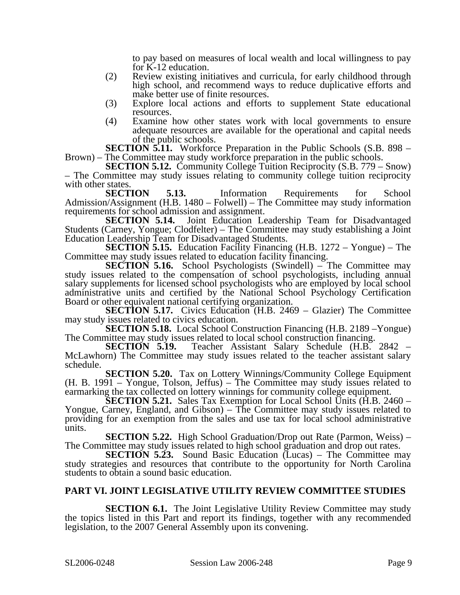to pay based on measures of local wealth and local willingness to pay for K-12 education.

- (2) Review existing initiatives and curricula, for early childhood through high school, and recommend ways to reduce duplicative efforts and make better use of finite resources.
- (3) Explore local actions and efforts to supplement State educational resources.
- (4) Examine how other states work with local governments to ensure adequate resources are available for the operational and capital needs of the public schools.

**SECTION 5.11.** Workforce Preparation in the Public Schools (S.B. 898 – Brown) – The Committee may study workforce preparation in the public schools.

**SECTION 5.12.** Community College Tuition Reciprocity (S.B. 779 – Snow) – The Committee may study issues relating to community college tuition reciprocity with other states.<br>**SECTION** 

**5.13.** Information Requirements for School Admission/Assignment (H.B. 1480 – Folwell) – The Committee may study information requirements for school admission and assignment.<br>**SECTION 5.14.** Joint Education Le

Joint Education Leadership Team for Disadvantaged Students (Carney, Yongue; Clodfelter) – The Committee may study establishing a Joint Education Leadership Team for Disadvantaged Students.

**SECTION 5.15.** Education Facility Financing (H.B. 1272 – Yongue) – The Committee may study issues related to education facility financing.

**SECTION 5.16.** School Psychologists (Swindell) – The Committee may study issues related to the compensation of school psychologists, including annual salary supplements for licensed school psychologists who are employed by local school administrative units and certified by the National School Psychology Certification Board or other equivalent national certifying organization.

**SECTION 5.17.** Civics Education (H.B. 2469 – Glazier) The Committee may study issues related to civics education.

**SECTION 5.18.** Local School Construction Financing (H.B. 2189 –Yongue) The Committee may study issues related to local school construction financing.<br>SECTION 5.19. Teacher Assistant Salary Schedule (H.B.

Teacher Assistant Salary Schedule (H.B. 2842 – McLawhorn) The Committee may study issues related to the teacher assistant salary schedule.

**SECTION 5.20.** Tax on Lottery Winnings/Community College Equipment (H. B. 1991 – Yongue, Tolson, Jeffus) – The Committee may study issues related to earmarking the tax collected on lottery winnings for community college equipment.

**SECTION 5.21.** Sales Tax Exemption for Local School Units (H.B. 2460 – Yongue, Carney, England, and Gibson) – The Committee may study issues related to providing for an exemption from the sales and use tax for local school administrative units.

**SECTION 5.22.** High School Graduation/Drop out Rate (Parmon, Weiss) – The Committee may study issues related to high school graduation and drop out rates.

**SECTION 5.23.** Sound Basic Education (Lucas) – The Committee may study strategies and resources that contribute to the opportunity for North Carolina students to obtain a sound basic education.

## **PART VI. JOINT LEGISLATIVE UTILITY REVIEW COMMITTEE STUDIES**

**SECTION 6.1.** The Joint Legislative Utility Review Committee may study the topics listed in this Part and report its findings, together with any recommended legislation, to the 2007 General Assembly upon its convening.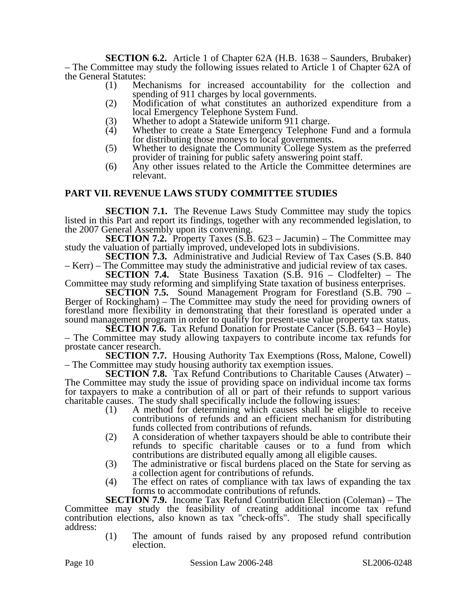**SECTION 6.2.** Article 1 of Chapter 62A (H.B. 1638 – Saunders, Brubaker) – The Committee may study the following issues related to Article 1 of Chapter 62A of the General Statutes:

- (1) Mechanisms for increased accountability for the collection and spending of 911 charges by local governments.
- (2) Modification of what constitutes an authorized expenditure from a local Emergency Telephone System Fund.
- (3) Whether to adopt a Statewide uniform 911 charge.<br>(4) Whether to create a State Emergency Telephone
- Whether to create a State Emergency Telephone Fund and a formula for distributing those moneys to local governments.
- (5) Whether to designate the Community College System as the preferred provider of training for public safety answering point staff.
- (6) Any other issues related to the Article the Committee determines are relevant.

## **PART VII. REVENUE LAWS STUDY COMMITTEE STUDIES**

**SECTION 7.1.** The Revenue Laws Study Committee may study the topics listed in this Part and report its findings, together with any recommended legislation, to the 2007 General Assembly upon its convening.

**SECTION 7.2.** Property Taxes (S.B. 623 – Jacumin) – The Committee may study the valuation of partially improved, undeveloped lots in subdivisions.

**SECTION 7.3.** Administrative and Judicial Review of Tax Cases (S.B. 840) – Kerr) – The Committee may study the administrative and judicial review of tax cases.

**SECTION 7.4.** State Business Taxation (S.B. 916 – Clodfelter) – The Committee may study reforming and simplifying State taxation of business enterprises.

**SECTION 7.5.** Sound Management Program for Forestland (S.B. 790 – Berger of Rockingham) – The Committee may study the need for providing owners of forestland more flexibility in demonstrating that their forestland is operated under a sound management program in order to qualify for present-use value property tax status.

**SECTION 7.6.** Tax Refund Donation for Prostate Cancer (S.B. 643 – Hoyle) – The Committee may study allowing taxpayers to contribute income tax refunds for prostate cancer research.

**SECTION 7.7.** Housing Authority Tax Exemptions (Ross, Malone, Cowell) – The Committee may study housing authority tax exemption issues.

**SECTION 7.8.** Tax Refund Contributions to Charitable Causes (Atwater) – The Committee may study the issue of providing space on individual income tax forms for taxpayers to make a contribution of all or part of their refunds to support various charitable causes. The study shall specifically include the following issues:

- (1) A method for determining which causes shall be eligible to receive contributions of refunds and an efficient mechanism for distributing funds collected from contributions of refunds.
- (2) A consideration of whether taxpayers should be able to contribute their refunds to specific charitable causes or to a fund from which contributions are distributed equally among all eligible causes.
- (3) The administrative or fiscal burdens placed on the State for serving as a collection agent for contributions of refunds.
- (4) The effect on rates of compliance with tax laws of expanding the tax forms to accommodate contributions of refunds.

**SECTION 7.9.** Income Tax Refund Contribution Election (Coleman) – The Committee may study the feasibility of creating additional income tax refund contribution elections, also known as tax "check-offs". The study shall specifically address:

(1) The amount of funds raised by any proposed refund contribution election.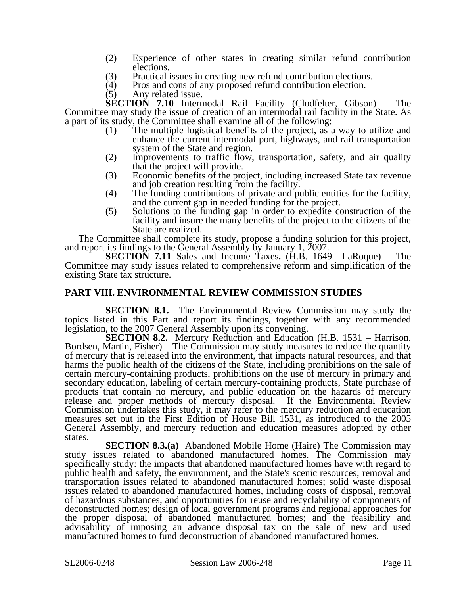- (2) Experience of other states in creating similar refund contribution elections.
- (3) Practical issues in creating new refund contribution elections.
- (4) Pros and cons of any proposed refund contribution election.<br>(5) Any related issue.
- Any related issue.

**SECTION 7.10** Intermodal Rail Facility (Clodfelter, Gibson) – The Committee may study the issue of creation of an intermodal rail facility in the State. As a part of its study, the Committee shall examine all of the following:

- (1) The multiple logistical benefits of the project, as a way to utilize and enhance the current intermodal port, highways, and rail transportation system of the State and region.
- (2) Improvements to traffic flow, transportation, safety, and air quality that the project will provide.
- (3) Economic benefits of the project, including increased State tax revenue and job creation resulting from the facility.
- (4) The funding contributions of private and public entities for the facility, and the current gap in needed funding for the project.
- (5) Solutions to the funding gap in order to expedite construction of the facility and insure the many benefits of the project to the citizens of the State are realized.

The Committee shall complete its study, propose a funding solution for this project, and report its findings to the General Assembly by January 1, 2007.

**SECTION 7.11** Sales and Income Taxes**.** (H.B. 1649 –LaRoque) – The Committee may study issues related to comprehensive reform and simplification of the existing State tax structure.

## **PART VIII. ENVIRONMENTAL REVIEW COMMISSION STUDIES**

**SECTION 8.1.** The Environmental Review Commission may study the topics listed in this Part and report its findings, together with any recommended legislation, to the 2007 General Assembly upon its convening.

**SECTION 8.2.** Mercury Reduction and Education (H.B. 1531 – Harrison, Bordsen, Martin, Fisher) – The Commission may study measures to reduce the quantity of mercury that is released into the environment, that impacts natural resources, and that harms the public health of the citizens of the State, including prohibitions on the sale of certain mercury-containing products, prohibitions on the use of mercury in primary and secondary education, labeling of certain mercury-containing products, State purchase of products that contain no mercury, and public education on the hazards of mercury release and proper methods of mercury disposal. If the Environmental Review Commission undertakes this study, it may refer to the mercury reduction and education measures set out in the First Edition of House Bill 1531, as introduced to the 2005 General Assembly, and mercury reduction and education measures adopted by other states.

**SECTION 8.3.(a)** Abandoned Mobile Home (Haire) The Commission may study issues related to abandoned manufactured homes. The Commission may specifically study: the impacts that abandoned manufactured homes have with regard to public health and safety, the environment, and the State's scenic resources; removal and transportation issues related to abandoned manufactured homes; solid waste disposal issues related to abandoned manufactured homes, including costs of disposal, removal of hazardous substances, and opportunities for reuse and recyclability of components of deconstructed homes; design of local government programs and regional approaches for the proper disposal of abandoned manufactured homes; and the feasibility and advisability of imposing an advance disposal tax on the sale of new and used manufactured homes to fund deconstruction of abandoned manufactured homes.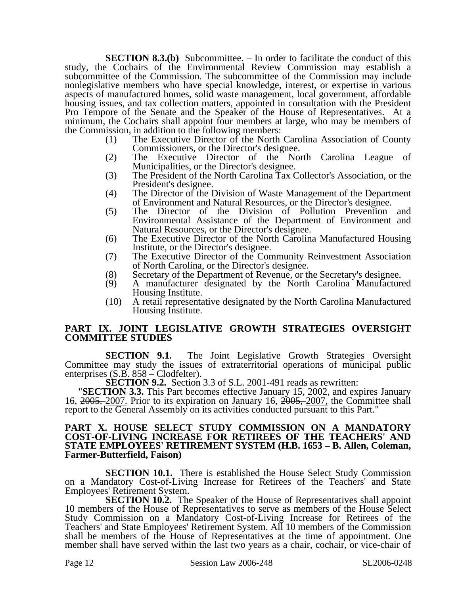**SECTION 8.3.(b)** Subcommittee. – In order to facilitate the conduct of this study, the Cochairs of the Environmental Review Commission may establish a subcommittee of the Commission. The subcommittee of the Commission may include nonlegislative members who have special knowledge, interest, or expertise in various aspects of manufactured homes, solid waste management, local government, affordable housing issues, and tax collection matters, appointed in consultation with the President Pro Tempore of the Senate and the Speaker of the House of Representatives. At a minimum, the Cochairs shall appoint four members at large, who may be members of the Commission, in addition to the following members:

- (1) The Executive Director of the North Carolina Association of County Commissioners, or the Director's designee.
- (2) The Executive Director of the North Carolina League of Municipalities, or the Director's designee.
- (3) The President of the North Carolina Tax Collector's Association, or the President's designee.
- (4) The Director of the Division of Waste Management of the Department of Environment and Natural Resources, or the Director's designee.
- (5) The Director of the Division of Pollution Prevention and Environmental Assistance of the Department of Environment and Natural Resources, or the Director's designee.
- (6) The Executive Director of the North Carolina Manufactured Housing Institute, or the Director's designee.
- (7) The Executive Director of the Community Reinvestment Association of North Carolina, or the Director's designee.
- (8) Secretary of the Department of Revenue, or the Secretary's designee.
- (9) A manufacturer designated by the North Carolina Manufactured Housing Institute.
- (10) A retail representative designated by the North Carolina Manufactured Housing Institute.

### **PART IX. JOINT LEGISLATIVE GROWTH STRATEGIES OVERSIGHT COMMITTEE STUDIES**

**SECTION 9.1.** The Joint Legislative Growth Strategies Oversight Committee may study the issues of extraterritorial operations of municipal public enterprises (S.B. 858 – Clodfelter).<br> **SECTION 9.2.** Section 3.3 of S.L. 2001-491 reads as rewritten:

**SECTION 9.2.** Section 3.3 of S.L. 2001-491 reads as rewritten:<br>"**SECTION 3.3.** This Part becomes effective January 15, 2002, and expires January 16, 2005. 2007. Prior to its expiration on January 16, 2005, 2007, the Committee shall report to the General Assembly on its activities conducted pursuant to this Part."

#### **PART X. HOUSE SELECT STUDY COMMISSION ON A MANDATORY COST-OF-LIVING INCREASE FOR RETIREES OF THE TEACHERS' AND STATE EMPLOYEES' RETIREMENT SYSTEM (H.B. 1653 – B. Allen, Coleman, Farmer-Butterfield, Faison)**

**SECTION 10.1.** There is established the House Select Study Commission on a Mandatory Cost-of-Living Increase for Retirees of the Teachers' and State Employees' Retirement System.

**SECTION 10.2.** The Speaker of the House of Representatives shall appoint 10 members of the House of Representatives to serve as members of the House Select Study Commission on a Mandatory Cost-of-Living Increase for Retirees of the Teachers' and State Employees' Retirement System. All 10 members of the Commission shall be members of the House of Representatives at the time of appointment. One member shall have served within the last two years as a chair, cochair, or vice-chair of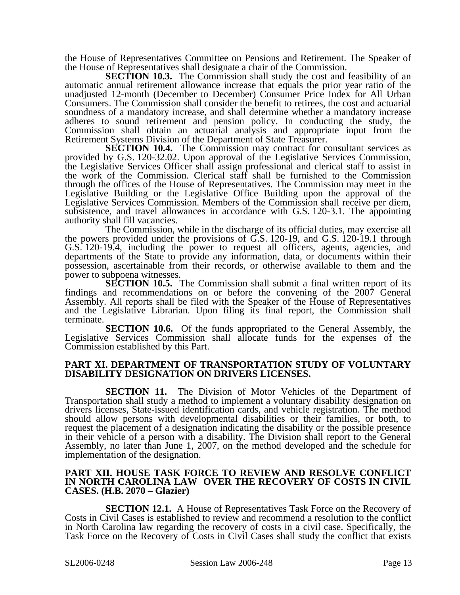the House of Representatives Committee on Pensions and Retirement. The Speaker of the House of Representatives shall designate a chair of the Commission.

**SECTION 10.3.** The Commission shall study the cost and feasibility of an automatic annual retirement allowance increase that equals the prior year ratio of the unadjusted 12-month (December to December) Consumer Price Index for All Urban Consumers. The Commission shall consider the benefit to retirees, the cost and actuarial soundness of a mandatory increase, and shall determine whether a mandatory increase adheres to sound retirement and pension policy. In conducting the study, the Commission shall obtain an actuarial analysis and appropriate input from the Retirement Systems Division of the Department of State Treasurer.

**SECTION 10.4.** The Commission may contract for consultant services as provided by G.S. 120-32.02. Upon approval of the Legislative Services Commission, the Legislative Services Officer shall assign professional and clerical staff to assist in the work of the Commission. Clerical staff shall be furnished to the Commission through the offices of the House of Representatives. The Commission may meet in the Legislative Building or the Legislative Office Building upon the approval of the Legislative Services Commission. Members of the Commission shall receive per diem, subsistence, and travel allowances in accordance with G.S. 120-3.1. The appointing authority shall fill vacancies.

The Commission, while in the discharge of its official duties, may exercise all the powers provided under the provisions of G.S. 120-19, and G.S. 120-19.1 through G.S. 120-19.4, including the power to request all officers, agents, agencies, and departments of the State to provide any information, data, or documents within their possession, ascertainable from their records, or otherwise available to them and the power to subpoena witnesses.

**SECTION 10.5.** The Commission shall submit a final written report of its findings and recommendations on or before the convening of the 2007 General Assembly. All reports shall be filed with the Speaker of the House of Representatives and the Legislative Librarian. Upon filing its final report, the Commission shall terminate.

**SECTION 10.6.** Of the funds appropriated to the General Assembly, the Legislative Services Commission shall allocate funds for the expenses of the Commission established by this Part.

#### **PART XI. DEPARTMENT OF TRANSPORTATION STUDY OF VOLUNTARY DISABILITY DESIGNATION ON DRIVERS LICENSES.**

**SECTION 11.** The Division of Motor Vehicles of the Department of Transportation shall study a method to implement a voluntary disability designation on drivers licenses, State-issued identification cards, and vehicle registration. The method should allow persons with developmental disabilities or their families, or both, to request the placement of a designation indicating the disability or the possible presence in their vehicle of a person with a disability. The Division shall report to the General Assembly, no later than June 1, 2007, on the method developed and the schedule for implementation of the designation.

#### **PART XII. HOUSE TASK FORCE TO REVIEW AND RESOLVE CONFLICT IN NORTH CAROLINA LAW OVER THE RECOVERY OF COSTS IN CIVIL CASES. (H.B. 2070 – Glazier)**

**SECTION 12.1.** A House of Representatives Task Force on the Recovery of Costs in Civil Cases is established to review and recommend a resolution to the conflict in North Carolina law regarding the recovery of costs in a civil case. Specifically, the Task Force on the Recovery of Costs in Civil Cases shall study the conflict that exists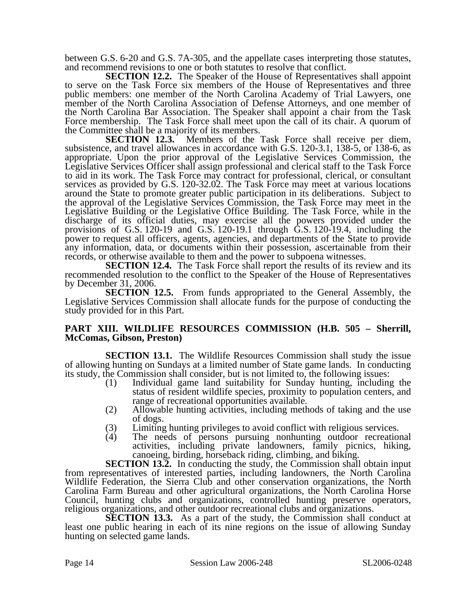between G.S. 6-20 and G.S. 7A-305, and the appellate cases interpreting those statutes, and recommend revisions to one or both statutes to resolve that conflict.

**SECTION 12.2.** The Speaker of the House of Representatives shall appoint to serve on the Task Force six members of the House of Representatives and three public members: one member of the North Carolina Academy of Trial Lawyers, one member of the North Carolina Association of Defense Attorneys, and one member of the North Carolina Bar Association. The Speaker shall appoint a chair from the Task Force membership. The Task Force shall meet upon the call of its chair. A quorum of the Committee shall be a majority of its members.

**SECTION 12.3.** Members of the Task Force shall receive per diem, subsistence, and travel allowances in accordance with G.S. 120-3.1, 138-5, or 138-6, as appropriate. Upon the prior approval of the Legislative Services Commission, the Legislative Services Officer shall assign professional and clerical staff to the Task Force to aid in its work. The Task Force may contract for professional, clerical, or consultant services as provided by G.S. 120-32.02. The Task Force may meet at various locations around the State to promote greater public participation in its deliberations. Subject to the approval of the Legislative Services Commission, the Task Force may meet in the Legislative Building or the Legislative Office Building. The Task Force, while in the discharge of its official duties, may exercise all the powers provided under the provisions of G.S. 120-19 and  $G.S. 120-19.1$  through  $\dot{G}.S. 120-19.4$ , including the power to request all officers, agents, agencies, and departments of the State to provide any information, data, or documents within their possession, ascertainable from their records, or otherwise available to them and the power to subpoena witnesses.

**SECTION 12.4.** The Task Force shall report the results of its review and its recommended resolution to the conflict to the Speaker of the House of Representatives by December 31, 2006.

**SECTION 12.5.** From funds appropriated to the General Assembly, the Legislative Services Commission shall allocate funds for the purpose of conducting the study provided for in this Part.

## **PART XIII. WILDLIFE RESOURCES COMMISSION (H.B. 505 – Sherrill, McComas, Gibson, Preston)**

**SECTION 13.1.** The Wildlife Resources Commission shall study the issue of allowing hunting on Sundays at a limited number of State game lands. In conducting its study, the Commission shall consider, but is not limited to, the following issues:

- (1) Individual game land suitability for Sunday hunting, including the status of resident wildlife species, proximity to population centers, and range of recreational opportunities available.
- (2) Allowable hunting activities, including methods of taking and the use of dogs.
- (3) Limiting hunting privileges to avoid conflict with religious services.<br>
(4) The needs of persons pursuing nonhunting outdoor recreation
- The needs of persons pursuing nonhunting outdoor recreational activities, including private landowners, family picnics, hiking, canoeing, birding, horseback riding, climbing, and biking.

**SECTION 13.2.** In conducting the study, the Commission shall obtain input from representatives of interested parties, including landowners, the North Carolina Wildlife Federation, the Sierra Club and other conservation organizations, the North Carolina Farm Bureau and other agricultural organizations, the North Carolina Horse Council, hunting clubs and organizations, controlled hunting preserve operators, religious organizations, and other outdoor recreational clubs and organizations.

**SECTION 13.3.** As a part of the study, the Commission shall conduct at least one public hearing in each of its nine regions on the issue of allowing Sunday hunting on selected game lands.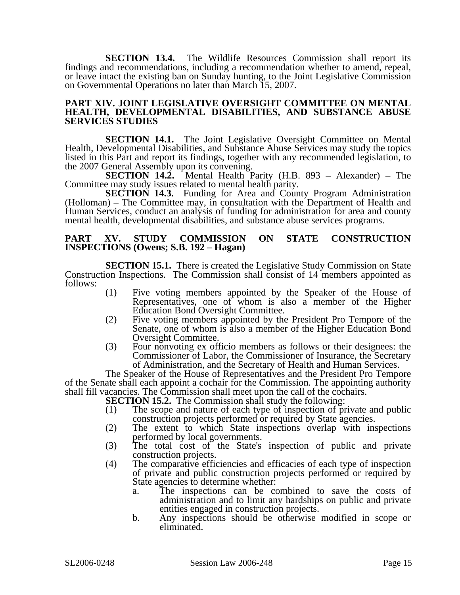**SECTION 13.4.** The Wildlife Resources Commission shall report its findings and recommendations, including a recommendation whether to amend, repeal, or leave intact the existing ban on Sunday hunting, to the Joint Legislative Commission on Governmental Operations no later than March 15, 2007.

#### **PART XIV. JOINT LEGISLATIVE OVERSIGHT COMMITTEE ON MENTAL HEALTH, DEVELOPMENTAL DISABILITIES, AND SUBSTANCE ABUSE SERVICES STUDIES**

**SECTION 14.1.** The Joint Legislative Oversight Committee on Mental Health, Developmental Disabilities, and Substance Abuse Services may study the topics listed in this Part and report its findings, together with any recommended legislation, to the 2007 General Assembly upon its convening.<br>SECTION 14.2. Mental Health P

**SECTION 14.2.** Mental Health Parity (H.B. 893 – Alexander) – The Committee may study issues related to mental health parity.

**SECTION 14.3.** Funding for Area and County Program Administration (Holloman) – The Committee may, in consultation with the Department of Health and Human Services, conduct an analysis of funding for administration for area and county mental health, developmental disabilities, and substance abuse services programs.

### **PART XV. STUDY COMMISSION ON STATE CONSTRUCTION INSPECTIONS (Owens; S.B. 192 – Hagan)**

**SECTION 15.1.** There is created the Legislative Study Commission on State Construction Inspections. The Commission shall consist of 14 members appointed as follows:

- (1) Five voting members appointed by the Speaker of the House of Representatives, one of whom is also a member of the Higher Education Bond Oversight Committee.
- (2) Five voting members appointed by the President Pro Tempore of the Senate, one of whom is also a member of the Higher Education Bond Oversight Committee.
- (3) Four nonvoting ex officio members as follows or their designees: the Commissioner of Labor, the Commissioner of Insurance, the Secretary of Administration, and the Secretary of Health and Human Services.

The Speaker of the House of Representatives and the President Pro Tempore of the Senate shall each appoint a cochair for the Commission. The appointing authority shall fill vacancies. The Commission shall meet upon the call of the cochairs.

**SECTION 15.2.** The Commission shall study the following:

- (1) The scope and nature of each type of inspection of private and public construction projects performed or required by State agencies.
- (2) The extent to which State inspections overlap with inspections performed by local governments.
- (3) The total cost of the State's inspection of public and private construction projects.
- (4) The comparative efficiencies and efficacies of each type of inspection of private and public construction projects performed or required by State agencies to determine whether:
	- a. The inspections can be combined to save the costs of administration and to limit any hardships on public and private entities engaged in construction projects.
	- b. Any inspections should be otherwise modified in scope or eliminated.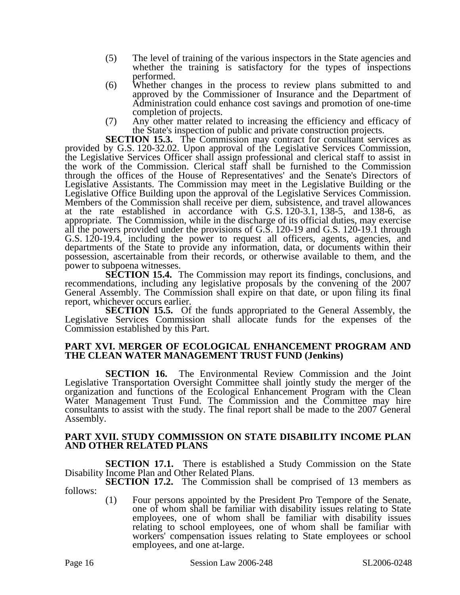- (5) The level of training of the various inspectors in the State agencies and whether the training is satisfactory for the types of inspections performed.
- (6) Whether changes in the process to review plans submitted to and approved by the Commissioner of Insurance and the Department of Administration could enhance cost savings and promotion of one-time completion of projects.
- (7) Any other matter related to increasing the efficiency and efficacy of the State's inspection of public and private construction projects.

**SECTION 15.3.** The Commission may contract for consultant services as provided by G.S. 120-32.02. Upon approval of the Legislative Services Commission, the Legislative Services Officer shall assign professional and clerical staff to assist in the work of the Commission. Clerical staff shall be furnished to the Commission through the offices of the House of Representatives' and the Senate's Directors of Legislative Assistants. The Commission may meet in the Legislative Building or the Legislative Office Building upon the approval of the Legislative Services Commission. Members of the Commission shall receive per diem, subsistence, and travel allowances at the rate established in accordance with G.S. 120-3.1, 138-5, and 138-6, as appropriate. The Commission, while in the discharge of its official duties, may exercise all the powers provided under the provisions of G.S. 120-19 and G.S. 120-19.1 through G.S. 120-19.4, including the power to request all officers, agents, agencies, and departments of the State to provide any information, data, or documents within their possession, ascertainable from their records, or otherwise available to them, and the power to subpoena witnesses.

**SECTION 15.4.** The Commission may report its findings, conclusions, and recommendations, including any legislative proposals by the convening of the 2007 General Assembly. The Commission shall expire on that date, or upon filing its final report, whichever occurs earlier.

**SECTION 15.5.** Of the funds appropriated to the General Assembly, the Legislative Services Commission shall allocate funds for the expenses of the Commission established by this Part.

### **PART XVI. MERGER OF ECOLOGICAL ENHANCEMENT PROGRAM AND THE CLEAN WATER MANAGEMENT TRUST FUND (Jenkins)**

**SECTION 16.** The Environmental Review Commission and the Joint Legislative Transportation Oversight Committee shall jointly study the merger of the organization and functions of the Ecological Enhancement Program with the Clean Water Management Trust Fund. The Commission and the Committee may hire consultants to assist with the study. The final report shall be made to the 2007 General Assembly.

### **PART XVII. STUDY COMMISSION ON STATE DISABILITY INCOME PLAN AND OTHER RELATED PLANS**

**SECTION 17.1.** There is established a Study Commission on the State Disability Income Plan and Other Related Plans.

**SECTION 17.2.** The Commission shall be comprised of 13 members as follows:

(1) Four persons appointed by the President Pro Tempore of the Senate, one of whom shall be familiar with disability issues relating to State employees, one of whom shall be familiar with disability issues relating to school employees, one of whom shall be familiar with workers' compensation issues relating to State employees or school employees, and one at-large.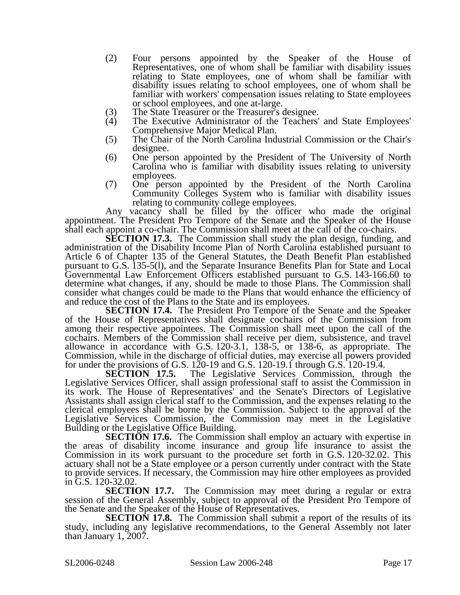- (2) Four persons appointed by the Speaker of the House of Representatives, one of whom shall be familiar with disability issues relating to State employees, one of whom shall be familiar with disability issues relating to school employees, one of whom shall be familiar with workers' compensation issues relating to State employees or school employees, and one at-large.
- (3) The State Treasurer or the Treasurer's designee.<br>(4) The Executive Administrator of the Teachers'
- The Executive Administrator of the Teachers' and State Employees' Comprehensive Major Medical Plan.
- (5) The Chair of the North Carolina Industrial Commission or the Chair's designee.
- (6) One person appointed by the President of The University of North Carolina who is familiar with disability issues relating to university employees.
- (7) One person appointed by the President of the North Carolina Community Colleges System who is familiar with disability issues relating to community college employees.

Any vacancy shall be filled by the officer who made the original appointment. The President Pro Tempore of the Senate and the Speaker of the House shall each appoint a co-chair. The Commission shall meet at the call of the co-chairs.

**SECTION 17.3.** The Commission shall study the plan design, funding, and administration of the Disability Income Plan of North Carolina established pursuant to Article 6 of Chapter 135 of the General Statutes, the Death Benefit Plan established pursuant to G.S. 135-5(l), and the Separate Insurance Benefits Plan for State and Local Governmental Law Enforcement Officers established pursuant to G.S. 143-166.60 to determine what changes, if any, should be made to those Plans. The Commission shall consider what changes could be made to the Plans that would enhance the efficiency of and reduce the cost of the Plans to the State and its employees.

**SECTION 17.4.** The President Pro Tempore of the Senate and the Speaker of the House of Representatives shall designate cochairs of the Commission from among their respective appointees. The Commission shall meet upon the call of the cochairs. Members of the Commission shall receive per diem, subsistence, and travel allowance in accordance with G.S. 120-3.1, 138-5, or 138-6, as appropriate. The Commission, while in the discharge of official duties, may exercise all powers provided for under the provisions of G.S. 120-19 and G.S. 120-19.1 through G.S. 120-19.4.<br>**SECTION 17.5.** The Legislative Services Commission, through

The Legislative Services Commission, through the Legislative Services Officer, shall assign professional staff to assist the Commission in its work. The House of Representatives' and the Senate's Directors of Legislative Assistants shall assign clerical staff to the Commission, and the expenses relating to the clerical employees shall be borne by the Commission. Subject to the approval of the Legislative Services Commission, the Commission may meet in the Legislative Building or the Legislative Office Building.

**SECTION 17.6.** The Commission shall employ an actuary with expertise in the areas of disability income insurance and group life insurance to assist the Commission in its work pursuant to the procedure set forth in G.S. 120-32.02. This actuary shall not be a State employee or a person currently under contract with the State to provide services. If necessary, the Commission may hire other employees as provided in G.S. 120-32.02.

**SECTION 17.7.** The Commission may meet during a regular or extra session of the General Assembly, subject to approval of the President Pro Tempore of the Senate and the Speaker of the House of Representatives.

**SECTION 17.8.** The Commission shall submit a report of the results of its study, including any legislative recommendations, to the General Assembly not later than January 1, 2007.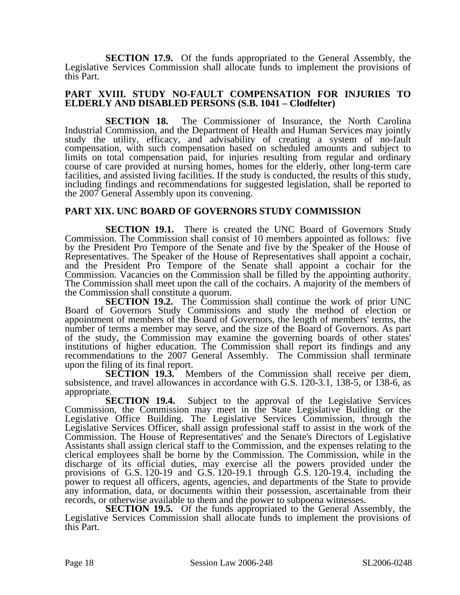**SECTION 17.9.** Of the funds appropriated to the General Assembly, the Legislative Services Commission shall allocate funds to implement the provisions of this Part.

### **PART XVIII. STUDY NO-FAULT COMPENSATION FOR INJURIES TO ELDERLY AND DISABLED PERSONS (S.B. 1041 – Clodfelter)**

**SECTION 18.** The Commissioner of Insurance, the North Carolina Industrial Commission, and the Department of Health and Human Services may jointly study the utility, efficacy, and advisability of creating a system of no-fault compensation, with such compensation based on scheduled amounts and subject to limits on total compensation paid, for injuries resulting from regular and ordinary course of care provided at nursing homes, homes for the elderly, other long-term care facilities, and assisted living facilities. If the study is conducted, the results of this study, including findings and recommendations for suggested legislation, shall be reported to the 2007 General Assembly upon its convening.

## **PART XIX. UNC BOARD OF GOVERNORS STUDY COMMISSION**

**SECTION 19.1.** There is created the UNC Board of Governors Study Commission. The Commission shall consist of 10 members appointed as follows: five by the President Pro Tempore of the Senate and five by the Speaker of the House of Representatives. The Speaker of the House of Representatives shall appoint a cochair, and the President Pro Tempore of the Senate shall appoint a cochair for the Commission. Vacancies on the Commission shall be filled by the appointing authority. The Commission shall meet upon the call of the cochairs. A majority of the members of the Commission shall constitute a quorum.

**SECTION 19.2.** The Commission shall continue the work of prior UNC Board of Governors Study Commissions and study the method of election or appointment of members of the Board of Governors, the length of members' terms, the number of terms a member may serve, and the size of the Board of Governors. As part of the study, the Commission may examine the governing boards of other states' institutions of higher education. The Commission shall report its findings and any recommendations to the 2007 General Assembly. The Commission shall terminate upon the filing of its final report.

**SECTION 19.3.** Members of the Commission shall receive per diem, subsistence, and travel allowances in accordance with G.S. 120-3.1, 138-5, or 138-6, as appropriate.<br>SECTION 19.4.

Subject to the approval of the Legislative Services Commission, the Commission may meet in the State Legislative Building or the Legislative Office Building. The Legislative Services Commission, through the Legislative Services Officer, shall assign professional staff to assist in the work of the Commission. The House of Representatives' and the Senate's Directors of Legislative Assistants shall assign clerical staff to the Commission, and the expenses relating to the clerical employees shall be borne by the Commission. The Commission, while in the discharge of its official duties, may exercise all the powers provided under the provisions of G.S. 120-19 and  $G.S. 120-19.1$  through  $\dot{G}.S. 120-19.4$ , including the power to request all officers, agents, agencies, and departments of the State to provide any information, data, or documents within their possession, ascertainable from their records, or otherwise available to them and the power to subpoena witnesses.

**SECTION 19.5.** Of the funds appropriated to the General Assembly, the Legislative Services Commission shall allocate funds to implement the provisions of this Part.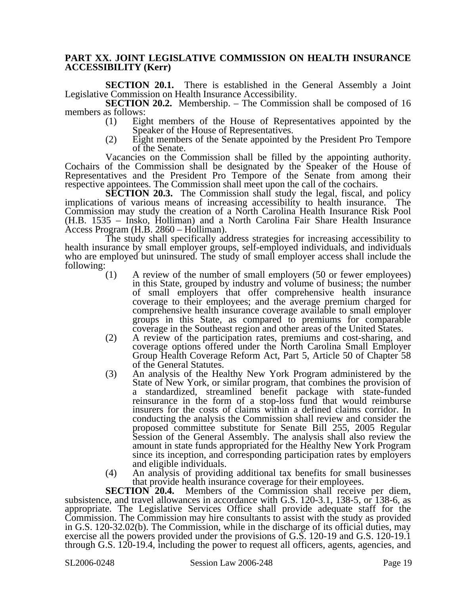### **PART XX. JOINT LEGISLATIVE COMMISSION ON HEALTH INSURANCE ACCESSIBILITY (Kerr)**

**SECTION 20.1.** There is established in the General Assembly a Joint Legislative Commission on Health Insurance Accessibility.

**SECTION 20.2.** Membership. – The Commission shall be composed of 16 members as follows:

- (1) Eight members of the House of Representatives appointed by the Speaker of the House of Representatives.
- (2) Eight members of the Senate appointed by the President Pro Tempore of the Senate.

Vacancies on the Commission shall be filled by the appointing authority. Cochairs of the Commission shall be designated by the Speaker of the House of Representatives and the President Pro Tempore of the Senate from among their respective appointees. The Commission shall meet upon the call of the cochairs.

**SECTION 20.3.** The Commission shall study the legal, fiscal, and policy implications of various means of increasing accessibility to health insurance. The Commission may study the creation of a North Carolina Health Insurance Risk Pool (H.B. 1535 – Insko, Holliman) and a North Carolina Fair Share Health Insurance Access Program (H.B. 2860 – Holliman).

The study shall specifically address strategies for increasing accessibility to health insurance by small employer groups, self-employed individuals, and individuals who are employed but uninsured. The study of small employer access shall include the following:  $(1)$ 

- A review of the number of small employers (50 or fewer employees) in this State, grouped by industry and volume of business; the number of small employers that offer comprehensive health insurance coverage to their employees; and the average premium charged for comprehensive health insurance coverage available to small employer groups in this State, as compared to premiums for comparable coverage in the Southeast region and other areas of the United States.
- (2) A review of the participation rates, premiums and cost-sharing, and coverage options offered under the North Carolina Small Employer Group Health Coverage Reform Act, Part 5, Article 50 of Chapter 58 of the General Statutes.
- (3) An analysis of the Healthy New York Program administered by the State of New York, or similar program, that combines the provision of a standardized, streamlined benefit package with state-funded reinsurance in the form of a stop-loss fund that would reimburse insurers for the costs of claims within a defined claims corridor. In conducting the analysis the Commission shall review and consider the proposed committee substitute for Senate Bill 255, 2005 Regular Session of the General Assembly. The analysis shall also review the amount in state funds appropriated for the Healthy New York Program since its inception, and corresponding participation rates by employers and eligible individuals.
- (4) An analysis of providing additional tax benefits for small businesses that provide health insurance coverage for their employees.

**SECTION 20.4.** Members of the Commission shall receive per diem, subsistence, and travel allowances in accordance with G.S. 120-3.1, 138-5, or 138-6, as appropriate. The Legislative Services Office shall provide adequate staff for the Commission. The Commission may hire consultants to assist with the study as provided in G.S. 120-32.02(b). The Commission, while in the discharge of its official duties, may exercise all the powers provided under the provisions of G.S. 120-19 and G.S. 120-19.1 through G.S. 120-19.4, including the power to request all officers, agents, agencies, and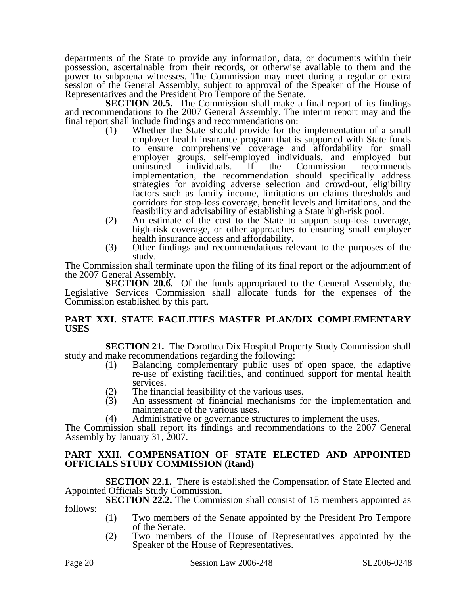departments of the State to provide any information, data, or documents within their possession, ascertainable from their records, or otherwise available to them and the power to subpoena witnesses. The Commission may meet during a regular or extra session of the General Assembly, subject to approval of the Speaker of the House of Representatives and the President Pro Tempore of the Senate.

**SECTION 20.5.** The Commission shall make a final report of its findings and recommendations to the 2007 General Assembly. The interim report may and the final report shall include findings and recommendations on:

- (1) Whether the State should provide for the implementation of a small employer health insurance program that is supported with State funds to ensure comprehensive coverage and affordability for small employer groups, self-employed individuals, and employed but uninsured individuals. If the Commission recommends implementation, the recommendation should specifically address strategies for avoiding adverse selection and crowd-out, eligibility factors such as family income, limitations on claims thresholds and corridors for stop-loss coverage, benefit levels and limitations, and the feasibility and advisability of establishing a State high-risk pool.
- (2) An estimate of the cost to the State to support stop-loss coverage, high-risk coverage, or other approaches to ensuring small employer health insurance access and affordability.
- (3) Other findings and recommendations relevant to the purposes of the study.

The Commission shall terminate upon the filing of its final report or the adjournment of the 2007 General Assembly.

**SECTION 20.6.** Of the funds appropriated to the General Assembly, the Legislative Services Commission shall allocate funds for the expenses of the Commission established by this part.

## **PART XXI. STATE FACILITIES MASTER PLAN/DIX COMPLEMENTARY USES**

**SECTION 21.** The Dorothea Dix Hospital Property Study Commission shall study and make recommendations regarding the following:

- (1) Balancing complementary public uses of open space, the adaptive re-use of existing facilities, and continued support for mental health services.
- (2) The financial feasibility of the various uses.<br>(3) An assessment of financial mechanisms for
- An assessment of financial mechanisms for the implementation and maintenance of the various uses.
- (4) Administrative or governance structures to implement the uses.

The Commission shall report its findings and recommendations to the 2007 General Assembly by January 31, 2007.

## **PART XXII. COMPENSATION OF STATE ELECTED AND APPOINTED OFFICIALS STUDY COMMISSION (Rand)**

**SECTION 22.1.** There is established the Compensation of State Elected and Appointed Officials Study Commission.

**SECTION 22.2.** The Commission shall consist of 15 members appointed as follows:

- (1) Two members of the Senate appointed by the President Pro Tempore of the Senate.
- (2) Two members of the House of Representatives appointed by the Speaker of the House of Representatives.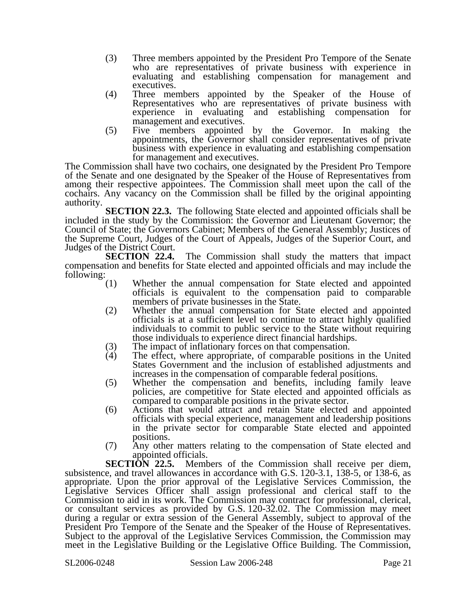- (3) Three members appointed by the President Pro Tempore of the Senate who are representatives of private business with experience in evaluating and establishing compensation for management and executives.
- (4) Three members appointed by the Speaker of the House of Representatives who are representatives of private business with experience in evaluating and establishing compensation for management and executives.
- (5) Five members appointed by the Governor. In making the appointments, the Governor shall consider representatives of private business with experience in evaluating and establishing compensation for management and executives.

The Commission shall have two cochairs, one designated by the President Pro Tempore of the Senate and one designated by the Speaker of the House of Representatives from among their respective appointees. The Commission shall meet upon the call of the cochairs. Any vacancy on the Commission shall be filled by the original appointing authority.

**SECTION 22.3.** The following State elected and appointed officials shall be included in the study by the Commission: the Governor and Lieutenant Governor; the Council of State; the Governors Cabinet; Members of the General Assembly; Justices of the Supreme Court, Judges of the Court of Appeals, Judges of the Superior Court, and

Judges of the District Court.<br>**SECTION 22.4.** The Commission shall study the matters that impact compensation and benefits for State elected and appointed officials and may include the following:

- (1) Whether the annual compensation for State elected and appointed officials is equivalent to the compensation paid to comparable members of private businesses in the State.
- (2) Whether the annual compensation for State elected and appointed officials is at a sufficient level to continue to attract highly qualified individuals to commit to public service to the State without requiring those individuals to experience direct financial hardships.
- (3) The impact of inflationary forces on that compensation.<br>
(4) The effect, where appropriate, of comparable positions
- The effect, where appropriate, of comparable positions in the United States Government and the inclusion of established adjustments and increases in the compensation of comparable federal positions.
- (5) Whether the compensation and benefits, including family leave policies, are competitive for State elected and appointed officials as compared to comparable positions in the private sector.
- (6) Actions that would attract and retain State elected and appointed officials with special experience, management and leadership positions in the private sector for comparable State elected and appointed positions.
- (7) Any other matters relating to the compensation of State elected and appointed officials.<br>SECTION 22.5. Memb

Members of the Commission shall receive per diem, subsistence, and travel allowances in accordance with G.S. 120-3.1, 138-5, or 138-6, as appropriate. Upon the prior approval of the Legislative Services Commission, the Legislative Services Officer shall assign professional and clerical staff to the Commission to aid in its work. The Commission may contract for professional, clerical, or consultant services as provided by G.S. 120-32.02. The Commission may meet during a regular or extra session of the General Assembly, subject to approval of the President Pro Tempore of the Senate and the Speaker of the House of Representatives. Subject to the approval of the Legislative Services Commission, the Commission may meet in the Legislative Building or the Legislative Office Building. The Commission,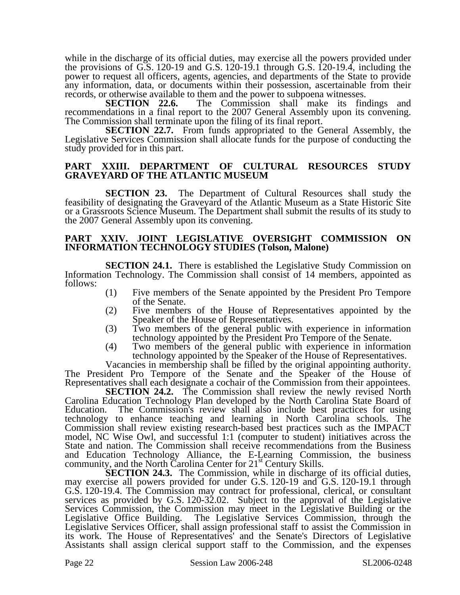while in the discharge of its official duties, may exercise all the powers provided under the provisions of G.S. 120-19 and G.S. 120-19.1 through G.S. 120-19.4, including the power to request all officers, agents, agencies, and departments of the State to provide any information, data, or documents within their possession, ascertainable from their records, or otherwise available to them and the power to subpoena witnesses.<br> **SECTION** 22.6. The Commission shall make its find

The Commission shall make its findings and recommendations in a final report to the 2007 General Assembly upon its convening. The Commission shall terminate upon the filing of its final report.

**SECTION 22.7.** From funds appropriated to the General Assembly, the Legislative Services Commission shall allocate funds for the purpose of conducting the study provided for in this part.

### **PART XXIII. DEPARTMENT OF CULTURAL RESOURCES STUDY GRAVEYARD OF THE ATLANTIC MUSEUM**

**SECTION 23.** The Department of Cultural Resources shall study the feasibility of designating the Graveyard of the Atlantic Museum as a State Historic Site or a Grassroots Science Museum. The Department shall submit the results of its study to the 2007 General Assembly upon its convening.

#### **PART XXIV. JOINT LEGISLATIVE OVERSIGHT COMMISSION ON INFORMATION TECHNOLOGY STUDIES (Tolson, Malone)**

**SECTION 24.1.** There is established the Legislative Study Commission on Information Technology. The Commission shall consist of 14 members, appointed as follows:

- (1) Five members of the Senate appointed by the President Pro Tempore of the Senate.
- (2) Five members of the House of Representatives appointed by the Speaker of the House of Representatives.
- (3) Two members of the general public with experience in information technology appointed by the President Pro Tempore of the Senate.
- (4) Two members of the general public with experience in information technology appointed by the Speaker of the House of Representatives.

Vacancies in membership shall be filled by the original appointing authority. The President Pro Tempore of the Senate and the Speaker of the House of Representatives shall each designate a cochair of the Commission from their appointees.

**SECTION 24.2.** The Commission shall review the newly revised North Carolina Education Technology Plan developed by the North Carolina State Board of Education. The Commission's review shall also include best practices for using technology to enhance teaching and learning in North Carolina schools. The Commission shall review existing research-based best practices such as the IMPACT model, NC Wise Owl, and successful 1:1 (computer to student) initiatives across the State and nation. The Commission shall receive recommendations from the Business and Education Technology Alliance, the E-Learning Commission, the business community, and the North Carolina Center for 21<sup>st</sup> Century Skills.

**SECTION 24.3.** The Commission, while in discharge of its official duties, may exercise all powers provided for under G.S. 120-19 and G.S. 120-19.1 through G.S. 120-19.4. The Commission may contract for professional, clerical, or consultant services as provided by G.S.  $120-32.02$ . Subject to the approval of the Legislative Services Commission, the Commission may meet in the Legislative Building or the Legislative Office Building. The Legislative Services Commission, through the The Legislative Services Commission, through the Legislative Services Officer, shall assign professional staff to assist the Commission in its work. The House of Representatives' and the Senate's Directors of Legislative Assistants shall assign clerical support staff to the Commission, and the expenses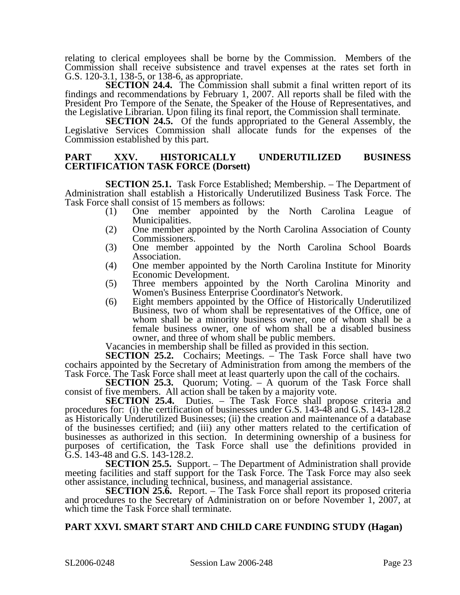relating to clerical employees shall be borne by the Commission. Members of the Commission shall receive subsistence and travel expenses at the rates set forth in G.S. 120-3.1, 138-5, or 138-6, as appropriate.

**SECTION 24.4.** The Commission shall submit a final written report of its findings and recommendations by February 1, 2007. All reports shall be filed with the President Pro Tempore of the Senate, the Speaker of the House of Representatives, and the Legislative Librarian. Upon filing its final report, the Commission shall terminate.

**SECTION 24.5.** Of the funds appropriated to the General Assembly, the Legislative Services Commission shall allocate funds for the expenses of the Commission established by this part.

### **PART XXV. HISTORICALLY UNDERUTILIZED BUSINESS CERTIFICATION TASK FORCE (Dorsett)**

**SECTION 25.1.** Task Force Established; Membership. – The Department of Administration shall establish a Historically Underutilized Business Task Force. The Task Force shall consist of 15 members as follows:

- (1) One member appointed by the North Carolina League of Municipalities.
- (2) One member appointed by the North Carolina Association of County Commissioners.
- (3) One member appointed by the North Carolina School Boards Association.
- (4) One member appointed by the North Carolina Institute for Minority Economic Development.
- (5) Three members appointed by the North Carolina Minority and Women's Business Enterprise Coordinator's Network.
- (6) Eight members appointed by the Office of Historically Underutilized Business, two of whom shall be representatives of the Office, one of whom shall be a minority business owner, one of whom shall be a female business owner, one of whom shall be a disabled business owner, and three of whom shall be public members.

Vacancies in membership shall be filled as provided in this section.

**SECTION 25.2.** Cochairs; Meetings. – The Task Force shall have two cochairs appointed by the Secretary of Administration from among the members of the Task Force. The Task Force shall meet at least quarterly upon the call of the cochairs.

**SECTION 25.3.** Quorum; Voting. – A quorum of the Task Force shall consist of five members. All action shall be taken by a majority vote.

**SECTION 25.4.** Duties. – The Task Force shall propose criteria and procedures for: (i) the certification of businesses under G.S. 143-48 and G.S. 143-128.2 as Historically Underutilized Businesses; (ii) the creation and maintenance of a database of the businesses certified; and (iii) any other matters related to the certification of businesses as authorized in this section. In determining ownership of a business for purposes of certification, the Task Force shall use the definitions provided in G.S. 143-48 and G.S. 143-128.2.

**SECTION 25.5.** Support. – The Department of Administration shall provide meeting facilities and staff support for the Task Force. The Task Force may also seek other assistance, including technical, business, and managerial assistance.

**SECTION 25.6.** Report. – The Task Force shall report its proposed criteria and procedures to the Secretary of Administration on or before November 1, 2007, at which time the Task Force shall terminate.

## **PART XXVI. SMART START AND CHILD CARE FUNDING STUDY (Hagan)**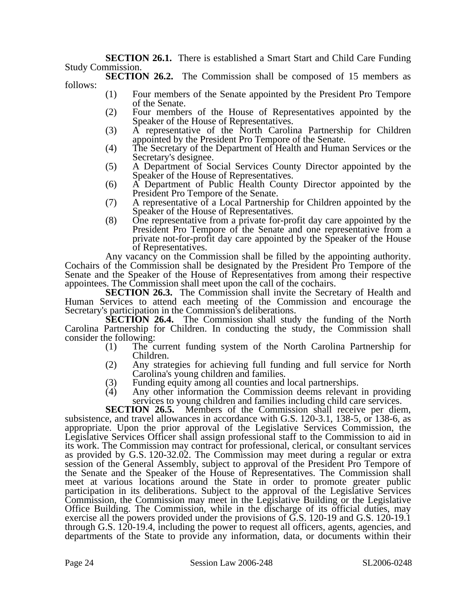**SECTION 26.1.** There is established a Smart Start and Child Care Funding Study Commission.

**SECTION 26.2.** The Commission shall be composed of 15 members as follows:

- (1) Four members of the Senate appointed by the President Pro Tempore of the Senate.
- (2) Four members of the House of Representatives appointed by the Speaker of the House of Representatives.
- (3) A representative of the North Carolina Partnership for Children appointed by the President Pro Tempore of the Senate.
- (4) The Secretary of the Department of Health and Human Services or the Secretary's designee.
- (5) A Department of Social Services County Director appointed by the Speaker of the House of Representatives.
- (6) A Department of Public Health County Director appointed by the President Pro Tempore of the Senate.
- (7) A representative of a Local Partnership for Children appointed by the Speaker of the House of Representatives.
- (8) One representative from a private for-profit day care appointed by the President Pro Tempore of the Senate and one representative from a private not-for-profit day care appointed by the Speaker of the House of Representatives.

Any vacancy on the Commission shall be filled by the appointing authority. Cochairs of the Commission shall be designated by the President Pro Tempore of the Senate and the Speaker of the House of Representatives from among their respective appointees. The Commission shall meet upon the call of the cochairs.

**SECTION 26.3.** The Commission shall invite the Secretary of Health and Human Services to attend each meeting of the Commission and encourage the Secretary's participation in the Commission's deliberations.

**SECTION 26.4.** The Commission shall study the funding of the North Carolina Partnership for Children. In conducting the study, the Commission shall consider the following:

- (1) The current funding system of the North Carolina Partnership for Children.
- (2) Any strategies for achieving full funding and full service for North Carolina's young children and families.
- (3) Funding equity among all counties and local partnerships.<br>(4) Any other information the Commission deems relevant
- Any other information the Commission deems relevant in providing services to young children and families including child care services.

**SECTION 26.5.** Members of the Commission shall receive per diem, subsistence, and travel allowances in accordance with G.S. 120-3.1, 138-5, or 138-6, as appropriate. Upon the prior approval of the Legislative Services Commission, the Legislative Services Officer shall assign professional staff to the Commission to aid in its work. The Commission may contract for professional, clerical, or consultant services as provided by G.S. 120-32.02. The Commission may meet during a regular or extra session of the General Assembly, subject to approval of the President Pro Tempore of the Senate and the Speaker of the House of Representatives. The Commission shall meet at various locations around the State in order to promote greater public participation in its deliberations. Subject to the approval of the Legislative Services Commission, the Commission may meet in the Legislative Building or the Legislative Office Building. The Commission, while in the discharge of its official duties, may exercise all the powers provided under the provisions of G.S. 120-19 and G.S. 120-19.1 through G.S. 120-19.4, including the power to request all officers, agents, agencies, and departments of the State to provide any information, data, or documents within their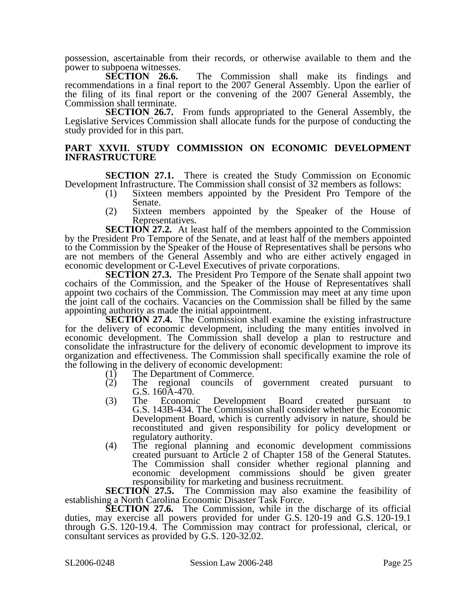possession, ascertainable from their records, or otherwise available to them and the

power to subpoena witnesses.<br>**SECTION** 26.6. The Commission shall make its findings and recommendations in a final report to the 2007 General Assembly. Upon the earlier of the filing of its final report or the convening of the 2007 General Assembly, the Commission shall terminate.

**SECTION 26.7.** From funds appropriated to the General Assembly, the Legislative Services Commission shall allocate funds for the purpose of conducting the study provided for in this part.

### **PART XXVII. STUDY COMMISSION ON ECONOMIC DEVELOPMENT INFRASTRUCTURE**

**SECTION 27.1.** There is created the Study Commission on Economic Development Infrastructure. The Commission shall consist of 32 members as follows:

- (1) Sixteen members appointed by the President Pro Tempore of the Senate.
- (2) Sixteen members appointed by the Speaker of the House of Representatives.

**SECTION 27.2.** At least half of the members appointed to the Commission by the President Pro Tempore of the Senate, and at least half of the members appointed to the Commission by the Speaker of the House of Representatives shall be persons who are not members of the General Assembly and who are either actively engaged in economic development or C-Level Executives of private corporations.

**SECTION 27.3.** The President Pro Tempore of the Senate shall appoint two cochairs of the Commission, and the Speaker of the House of Representatives shall appoint two cochairs of the Commission. The Commission may meet at any time upon the joint call of the cochairs. Vacancies on the Commission shall be filled by the same appointing authority as made the initial appointment.

**SECTION 27.4.** The Commission shall examine the existing infrastructure for the delivery of economic development, including the many entities involved in economic development. The Commission shall develop a plan to restructure and consolidate the infrastructure for the delivery of economic development to improve its organization and effectiveness. The Commission shall specifically examine the role of the following in the delivery of economic development:

- (1) The Department of Commerce.
- (2) The regional councils of government created pursuant to G.S. 160A-470.
- (3) The Economic Development Board created pursuant to G.S. 143B-434. The Commission shall consider whether the Economic Development Board, which is currently advisory in nature, should be reconstituted and given responsibility for policy development or regulatory authority.
- (4) The regional planning and economic development commissions created pursuant to Article 2 of Chapter 158 of the General Statutes. The Commission shall consider whether regional planning and economic development commissions should be given greater

responsibility for marketing and business recruitment.<br>SECTION 27.5. The Commission may also examine the The Commission may also examine the feasibility of establishing a North Carolina Economic Disaster Task Force.

**SECTION 27.6.** The Commission, while in the discharge of its official duties, may exercise all powers provided for under G.S. 120-19 and G.S. 120-19.1 through G.S. 120-19.4. The Commission may contract for professional, clerical, or consultant services as provided by G.S. 120-32.02.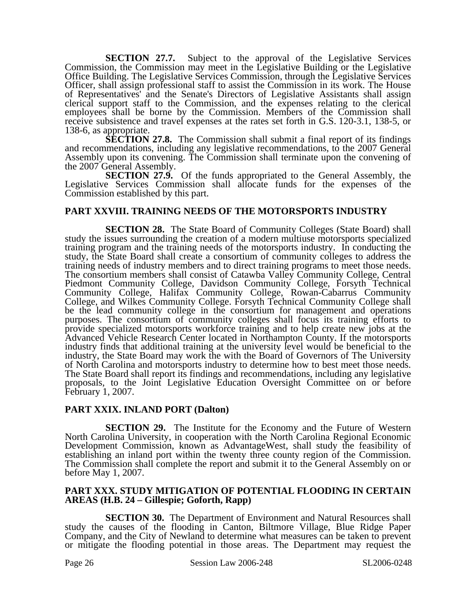**SECTION 27.7.** Subject to the approval of the Legislative Services Commission, the Commission may meet in the Legislative Building or the Legislative Office Building. The Legislative Services Commission, through the Legislative Services Officer, shall assign professional staff to assist the Commission in its work. The House of Representatives' and the Senate's Directors of Legislative Assistants shall assign clerical support staff to the Commission, and the expenses relating to the clerical employees shall be borne by the Commission. Members of the Commission shall receive subsistence and travel expenses at the rates set forth in G.S. 120-3.1, 138-5, or 138-6, as appropriate.

**SECTION 27.8.** The Commission shall submit a final report of its findings and recommendations, including any legislative recommendations, to the 2007 General Assembly upon its convening. The Commission shall terminate upon the convening of the 2007 General Assembly.

**SECTION 27.9.** Of the funds appropriated to the General Assembly, the Legislative Services Commission shall allocate funds for the expenses of the Commission established by this part.

## **PART XXVIII. TRAINING NEEDS OF THE MOTORSPORTS INDUSTRY**

**SECTION 28.** The State Board of Community Colleges (State Board) shall study the issues surrounding the creation of a modern multiuse motorsports specialized training program and the training needs of the motorsports industry. In conducting the study, the State Board shall create a consortium of community colleges to address the training needs of industry members and to direct training programs to meet those needs. The consortium members shall consist of Catawba Valley Community College, Central Piedmont Community College, Davidson Community College, Forsyth Technical Community College, Halifax Community College, Rowan-Cabarrus Community College, and Wilkes Community College. Forsyth Technical Community College shall be the lead community college in the consortium for management and operations purposes. The consortium of community colleges shall focus its training efforts to provide specialized motorsports workforce training and to help create new jobs at the Advanced Vehicle Research Center located in Northampton County. If the motorsports industry finds that additional training at the university level would be beneficial to the industry, the State Board may work the with the Board of Governors of The University of North Carolina and motorsports industry to determine how to best meet those needs. The State Board shall report its findings and recommendations, including any legislative proposals, to the Joint Legislative Education Oversight Committee on or before February 1, 2007.

### **PART XXIX. INLAND PORT (Dalton)**

**SECTION 29.** The Institute for the Economy and the Future of Western North Carolina University, in cooperation with the North Carolina Regional Economic Development Commission, known as AdvantageWest, shall study the feasibility of establishing an inland port within the twenty three county region of the Commission. The Commission shall complete the report and submit it to the General Assembly on or before May 1, 2007.

### **PART XXX. STUDY MITIGATION OF POTENTIAL FLOODING IN CERTAIN AREAS (H.B. 24 – Gillespie; Goforth, Rapp)**

**SECTION 30.** The Department of Environment and Natural Resources shall study the causes of the flooding in Canton, Biltmore Village, Blue Ridge Paper Company, and the City of Newland to determine what measures can be taken to prevent or mitigate the flooding potential in those areas. The Department may request the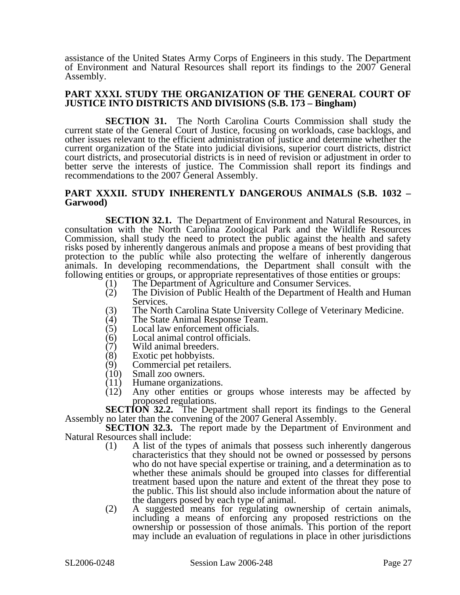assistance of the United States Army Corps of Engineers in this study. The Department of Environment and Natural Resources shall report its findings to the 2007 General Assembly.

### **PART XXXI. STUDY THE ORGANIZATION OF THE GENERAL COURT OF JUSTICE INTO DISTRICTS AND DIVISIONS (S.B. 173 – Bingham)**

**SECTION 31.** The North Carolina Courts Commission shall study the current state of the General Court of Justice, focusing on workloads, case backlogs, and other issues relevant to the efficient administration of justice and determine whether the current organization of the State into judicial divisions, superior court districts, district court districts, and prosecutorial districts is in need of revision or adjustment in order to better serve the interests of justice. The Commission shall report its findings and recommendations to the 2007 General Assembly.

### **PART XXXII. STUDY INHERENTLY DANGEROUS ANIMALS (S.B. 1032 – Garwood)**

**SECTION 32.1.** The Department of Environment and Natural Resources, in consultation with the North Carolina Zoological Park and the Wildlife Resources Commission, shall study the need to protect the public against the health and safety risks posed by inherently dangerous animals and propose a means of best providing that protection to the public while also protecting the welfare of inherently dangerous animals. In developing recommendations, the Department shall consult with the following entities or groups, or appropriate representatives of those entities or groups:

- (1) The Department of Agriculture and Consumer Services.<br>(2) The Division of Public Health of the Department of Hea
- The Division of Public Health of the Department of Health and Human Services.
- (3) The North Carolina State University College of Veterinary Medicine.<br>
(4) The State Animal Response Team.
- (4) The State Animal Response Team.<br>(5) Local law enforcement officials.
- Local law enforcement officials.
- (6) Local animal control officials.<br>(7) Wild animal breeders.
- (7) Wild animal breeders.<br>(8) Exotic pet hobbyists.
- (8) Exotic pet hobbyists.
- (9) Commercial pet retailers.<br>(10) Small zoo owners.
- Small zoo owners.
- 
- (11) Humane organizations.<br>(12) Any other entities or Any other entities or groups whose interests may be affected by proposed regulations.

**SECTION 32.2.** The Department shall report its findings to the General Assembly no later than the convening of the 2007 General Assembly.

**SECTION 32.3.** The report made by the Department of Environment and Natural Resources shall include:

- (1) A list of the types of animals that possess such inherently dangerous characteristics that they should not be owned or possessed by persons who do not have special expertise or training, and a determination as to whether these animals should be grouped into classes for differential treatment based upon the nature and extent of the threat they pose to the public. This list should also include information about the nature of the dangers posed by each type of animal.
- (2) A suggested means for regulating ownership of certain animals, including a means of enforcing any proposed restrictions on the ownership or possession of those animals. This portion of the report may include an evaluation of regulations in place in other jurisdictions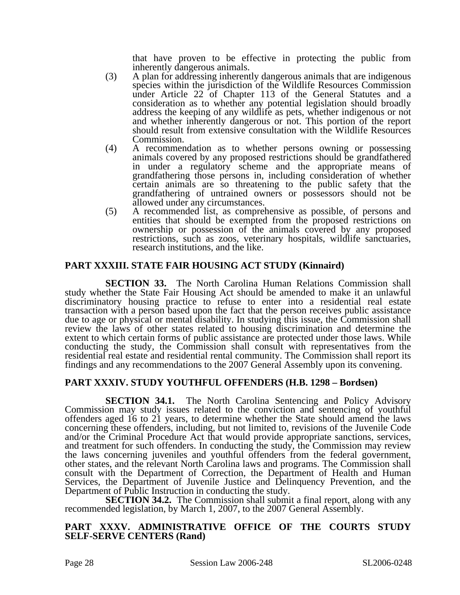that have proven to be effective in protecting the public from inherently dangerous animals.

- (3) A plan for addressing inherently dangerous animals that are indigenous species within the jurisdiction of the Wildlife Resources Commission under Article 22 of Chapter 113 of the General Statutes and a consideration as to whether any potential legislation should broadly address the keeping of any wildlife as pets, whether indigenous or not and whether inherently dangerous or not. This portion of the report should result from extensive consultation with the Wildlife Resources Commission.
- (4) A recommendation as to whether persons owning or possessing animals covered by any proposed restrictions should be grandfathered in under a regulatory scheme and the appropriate means of grandfathering those persons in, including consideration of whether certain animals are so threatening to the public safety that the grandfathering of untrained owners or possessors should not be allowed under any circumstances.
- (5) A recommended list, as comprehensive as possible, of persons and entities that should be exempted from the proposed restrictions on ownership or possession of the animals covered by any proposed restrictions, such as zoos, veterinary hospitals, wildlife sanctuaries, research institutions, and the like.

## **PART XXXIII. STATE FAIR HOUSING ACT STUDY (Kinnaird)**

**SECTION 33.** The North Carolina Human Relations Commission shall study whether the State Fair Housing Act should be amended to make it an unlawful discriminatory housing practice to refuse to enter into a residential real estate transaction with a person based upon the fact that the person receives public assistance due to age or physical or mental disability. In studying this issue, the Commission shall review the laws of other states related to housing discrimination and determine the extent to which certain forms of public assistance are protected under those laws. While conducting the study, the Commission shall consult with representatives from the residential real estate and residential rental community. The Commission shall report its findings and any recommendations to the 2007 General Assembly upon its convening.

## **PART XXXIV. STUDY YOUTHFUL OFFENDERS (H.B. 1298 – Bordsen)**

**SECTION 34.1.** The North Carolina Sentencing and Policy Advisory Commission may study issues related to the conviction and sentencing of youthful offenders aged 16 to 21 years, to determine whether the State should amend the laws concerning these offenders, including, but not limited to, revisions of the Juvenile Code and/or the Criminal Procedure Act that would provide appropriate sanctions, services, and treatment for such offenders. In conducting the study, the Commission may review the laws concerning juveniles and youthful offenders from the federal government, other states, and the relevant North Carolina laws and programs. The Commission shall consult with the Department of Correction, the Department of Health and Human Services, the Department of Juvenile Justice and Delinquency Prevention, and the Department of Public Instruction in conducting the study.

**SECTION 34.2.** The Commission shall submit a final report, along with any recommended legislation, by March 1, 2007, to the 2007 General Assembly.

### **PART XXXV. ADMINISTRATIVE OFFICE OF THE COURTS STUDY SELF-SERVE CENTERS (Rand)**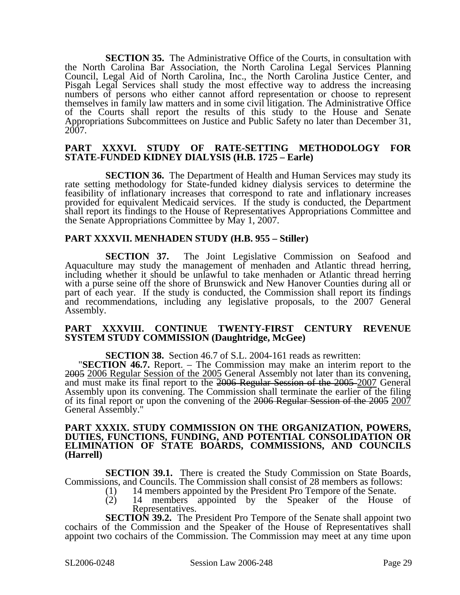**SECTION 35.** The Administrative Office of the Courts, in consultation with the North Carolina Bar Association, the North Carolina Legal Services Planning Council, Legal Aid of North Carolina, Inc., the North Carolina Justice Center, and Pisgah Legal Services shall study the most effective way to address the increasing numbers of persons who either cannot afford representation or choose to represent themselves in family law matters and in some civil litigation. The Administrative Office of the Courts shall report the results of this study to the House and Senate Appropriations Subcommittees on Justice and Public Safety no later than December 31, 2007.

#### **PART XXXVI. STUDY OF RATE-SETTING METHODOLOGY FOR STATE-FUNDED KIDNEY DIALYSIS (H.B. 1725 – Earle)**

**SECTION 36.** The Department of Health and Human Services may study its rate setting methodology for State-funded kidney dialysis services to determine the feasibility of inflationary increases that correspond to rate and inflationary increases provided for equivalent Medicaid services. If the study is conducted, the Department shall report its findings to the House of Representatives Appropriations Committee and the Senate Appropriations Committee by May 1, 2007.

### **PART XXXVII. MENHADEN STUDY (H.B. 955 – Stiller)**

**SECTION 37.** The Joint Legislative Commission on Seafood and Aquaculture may study the management of menhaden and Atlantic thread herring, including whether it should be unlawful to take menhaden or Atlantic thread herring with a purse seine off the shore of Brunswick and New Hanover Counties during all or part of each year. If the study is conducted, the Commission shall report its findings and recommendations, including any legislative proposals, to the 2007 General Assembly.

#### **PART XXXVIII. CONTINUE TWENTY-FIRST CENTURY REVENUE SYSTEM STUDY COMMISSION (Daughtridge, McGee)**

**SECTION 38.** Section 46.7 of S.L. 2004-161 reads as rewritten: "**SECTION 46.7.** Report. – The Commission may make an interim report to the 2005 2006 Regular Session of the 2005 General Assembly not later than its convening, and must make its final report to the 2006 Regular Session of the 2005 2007 General Assembly upon its convening. The Commission shall terminate the earlier of the filing of its final report or upon the convening of the 2006 Regular Session of the 2005 2007 General Assembly."

#### **PART XXXIX. STUDY COMMISSION ON THE ORGANIZATION, POWERS, DUTIES, FUNCTIONS, FUNDING, AND POTENTIAL CONSOLIDATION OR ELIMINATION OF STATE BOARDS, COMMISSIONS, AND COUNCILS (Harrell)**

**SECTION 39.1.** There is created the Study Commission on State Boards, Commissions, and Councils. The Commission shall consist of 28 members as follows:

- (1) 14 members appointed by the President Pro Tempore of the Senate.<br>
(2) 14 members appointed by the Speaker of the House
	- 14 members appointed by the Speaker of the House of Representatives.

**SECTION 39.2.** The President Pro Tempore of the Senate shall appoint two cochairs of the Commission and the Speaker of the House of Representatives shall appoint two cochairs of the Commission. The Commission may meet at any time upon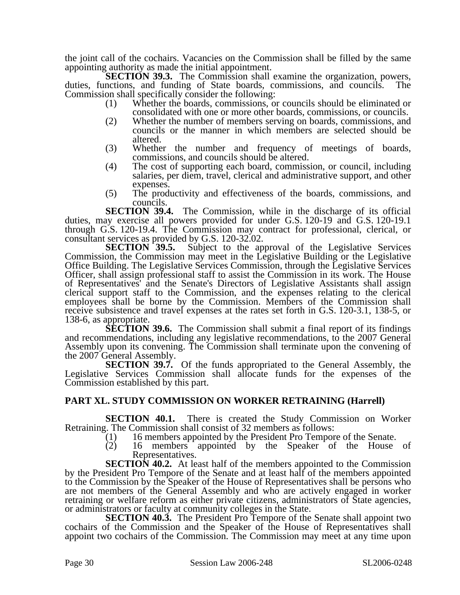the joint call of the cochairs. Vacancies on the Commission shall be filled by the same appointing authority as made the initial appointment.

**SECTION 39.3.** The Commission shall examine the organization, powers, duties, functions, and funding of State boards, commissions, and councils. The Commission shall specifically consider the following:

- (1) Whether the boards, commissions, or councils should be eliminated or consolidated with one or more other boards, commissions, or councils.
- (2) Whether the number of members serving on boards, commissions, and councils or the manner in which members are selected should be altered.
- (3) Whether the number and frequency of meetings of boards, commissions, and councils should be altered.
- (4) The cost of supporting each board, commission, or council, including salaries, per diem, travel, clerical and administrative support, and other expenses.
- (5) The productivity and effectiveness of the boards, commissions, and councils.

**SECTION 39.4.** The Commission, while in the discharge of its official duties, may exercise all powers provided for under G.S. 120-19 and G.S. 120-19.1 through G.S. 120-19.4. The Commission may contract for professional, clerical, or consultant services as provided by G.S. 120-32.02.<br>**SECTION 39.5.** Subject to the ap

Subject to the approval of the Legislative Services Commission, the Commission may meet in the Legislative Building or the Legislative Office Building. The Legislative Services Commission, through the Legislative Services Officer, shall assign professional staff to assist the Commission in its work. The House of Representatives' and the Senate's Directors of Legislative Assistants shall assign clerical support staff to the Commission, and the expenses relating to the clerical employees shall be borne by the Commission. Members of the Commission shall receive subsistence and travel expenses at the rates set forth in G.S. 120-3.1, 138-5, or 138-6, as appropriate.

**SECTION 39.6.** The Commission shall submit a final report of its findings and recommendations, including any legislative recommendations, to the 2007 General Assembly upon its convening. The Commission shall terminate upon the convening of the 2007 General Assembly.

**SECTION 39.7.** Of the funds appropriated to the General Assembly, the Legislative Services Commission shall allocate funds for the expenses of the Commission established by this part.

## **PART XL. STUDY COMMISSION ON WORKER RETRAINING (Harrell)**

**SECTION 40.1.** There is created the Study Commission on Worker Retraining. The Commission shall consist of 32 members as follows:

- (1) 16 members appointed by the President Pro Tempore of the Senate.
- (2) 16 members appointed by the Speaker of the House of Representatives.

**SECTION 40.2.** At least half of the members appointed to the Commission by the President Pro Tempore of the Senate and at least half of the members appointed to the Commission by the Speaker of the House of Representatives shall be persons who are not members of the General Assembly and who are actively engaged in worker retraining or welfare reform as either private citizens, administrators of State agencies, or administrators or faculty at community colleges in the State.

**SECTION 40.3.** The President Pro Tempore of the Senate shall appoint two cochairs of the Commission and the Speaker of the House of Representatives shall appoint two cochairs of the Commission. The Commission may meet at any time upon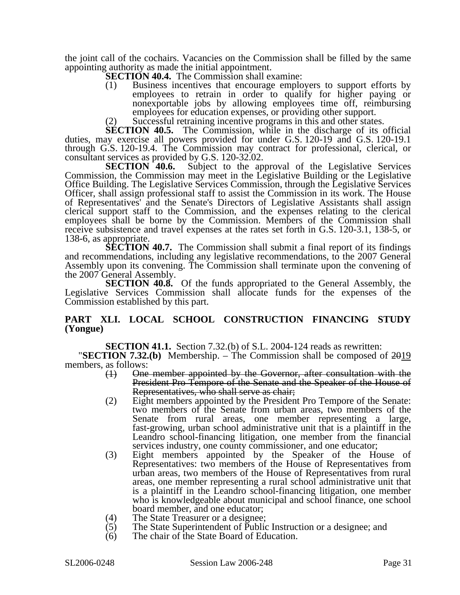the joint call of the cochairs. Vacancies on the Commission shall be filled by the same appointing authority as made the initial appointment.

**SECTION 40.4.** The Commission shall examine:

- (1) Business incentives that encourage employers to support efforts by employees to retrain in order to qualify for higher paying or nonexportable jobs by allowing employees time off, reimbursing employees for education expenses, or providing other support.
- (2) Successful retraining incentive programs in this and other states.

**SECTION 40.5.** The Commission, while in the discharge of its official duties, may exercise all powers provided for under G.S. 120-19 and G.S. 120-19.1 through G.S. 120-19.4. The Commission may contract for professional, clerical, or

consultant services as provided by G.S. 120-32.02.<br>**SECTION 40.6.** Subject to the ap Subject to the approval of the Legislative Services Commission, the Commission may meet in the Legislative Building or the Legislative Office Building. The Legislative Services Commission, through the Legislative Services Officer, shall assign professional staff to assist the Commission in its work. The House of Representatives' and the Senate's Directors of Legislative Assistants shall assign clerical support staff to the Commission, and the expenses relating to the clerical employees shall be borne by the Commission. Members of the Commission shall receive subsistence and travel expenses at the rates set forth in G.S. 120-3.1, 138-5, or 138-6, as appropriate.

**SECTION 40.7.** The Commission shall submit a final report of its findings and recommendations, including any legislative recommendations, to the 2007 General Assembly upon its convening. The Commission shall terminate upon the convening of the 2007 General Assembly.

**SECTION 40.8.** Of the funds appropriated to the General Assembly, the Legislative Services Commission shall allocate funds for the expenses of the Commission established by this part.

### **PART XLI. LOCAL SCHOOL CONSTRUCTION FINANCING STUDY (Yongue)**

**SECTION 41.1.** Section 7.32.(b) of S.L. 2004-124 reads as rewritten: "**SECTION 7.32.(b)** Membership. – The Commission shall be composed of 2019 members, as follows:

- (1) One member appointed by the Governor, after consultation with the President Pro Tempore of the Senate and the Speaker of the House of Representatives, who shall serve as chair;
- (2) Eight members appointed by the President Pro Tempore of the Senate: two members of the Senate from urban areas, two members of the Senate from rural areas, one member representing a large, fast-growing, urban school administrative unit that is a plaintiff in the Leandro school-financing litigation, one member from the financial services industry, one county commissioner, and one educator;
- (3) Eight members appointed by the Speaker of the House of Representatives: two members of the House of Representatives from urban areas, two members of the House of Representatives from rural areas, one member representing a rural school administrative unit that is a plaintiff in the Leandro school-financing litigation, one member who is knowledgeable about municipal and school finance, one school board member, and one educator;
- 
- (4) The State Treasurer or a designee;<br>(5) The State Superintendent of Public The State Superintendent of Public Instruction or a designee; and
- (6) The chair of the State Board of Education.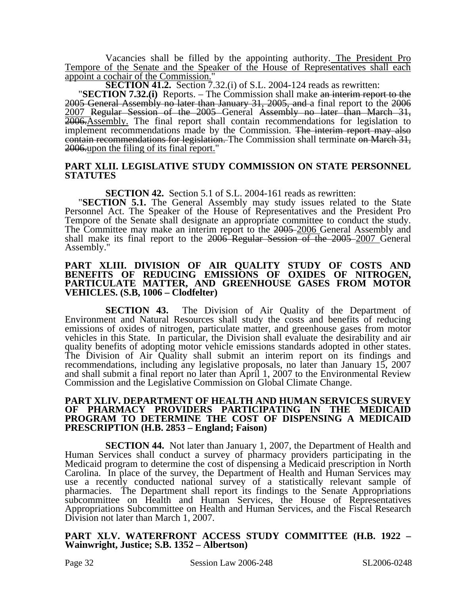Vacancies shall be filled by the appointing authority. The President Pro Tempore of the Senate and the Speaker of the House of Representatives shall each appoint a cochair of the Commission."

**SECTION 41.2.** Section 7.32.(i) of S.L. 2004-124 reads as rewritten: "**SECTION 7.32.(i)** Reports. – The Commission shall make an interim report to the 2005 General Assembly no later than January 31, 2005, and a final report to the 2006 2007 Regular Session of the 2005 General Assembly no later than March 31, 2006.Assembly. The final report shall contain recommendations for legislation to implement recommendations made by the Commission. The interim report may also contain recommendations for legislation. The Commission shall terminate on March 31, 2006.upon the filing of its final report."

## **PART XLII. LEGISLATIVE STUDY COMMISSION ON STATE PERSONNEL STATUTES**

**SECTION 42.** Section 5.1 of S.L. 2004-161 reads as rewritten: "**SECTION 5.1.** The General Assembly may study issues related to the State Personnel Act. The Speaker of the House of Representatives and the President Pro Tempore of the Senate shall designate an appropriate committee to conduct the study. The Committee may make an interim report to the 2005–2006 General Assembly and shall make its final report to the 2006 Regular Session of the 2005 2007 General Assembly."

#### **PART XLIII. DIVISION OF AIR QUALITY STUDY OF COSTS AND BENEFITS OF REDUCING EMISSIONS OF OXIDES OF NITROGEN, PARTICULATE MATTER, AND GREENHOUSE GASES FROM MOTOR VEHICLES. (S.B, 1006 – Clodfelter)**

**SECTION 43.** The Division of Air Quality of the Department of Environment and Natural Resources shall study the costs and benefits of reducing emissions of oxides of nitrogen, particulate matter, and greenhouse gases from motor vehicles in this State. In particular, the Division shall evaluate the desirability and air quality benefits of adopting motor vehicle emissions standards adopted in other states. The Division of Air Quality shall submit an interim report on its findings and recommendations, including any legislative proposals, no later than January 15, 2007 and shall submit a final report no later than April 1, 2007 to the Environmental Review Commission and the Legislative Commission on Global Climate Change.

#### **PART XLIV. DEPARTMENT OF HEALTH AND HUMAN SERVICES SURVEY OF PHARMACY PROVIDERS PARTICIPATING IN THE MEDICAID PROGRAM TO DETERMINE THE COST OF DISPENSING A MEDICAID PRESCRIPTION (H.B. 2853 – England; Faison)**

**SECTION 44.** Not later than January 1, 2007, the Department of Health and Human Services shall conduct a survey of pharmacy providers participating in the Medicaid program to determine the cost of dispensing a Medicaid prescription in North Carolina. In place of the survey, the Department of Health and Human Services may use a recently conducted national survey of a statistically relevant sample of pharmacies. The Department shall report its findings to the Senate Appropriations subcommittee on Health and Human Services, the House of Representatives Appropriations Subcommittee on Health and Human Services, and the Fiscal Research Division not later than March 1, 2007.

### **PART XLV. WATERFRONT ACCESS STUDY COMMITTEE (H.B. 1922 – Wainwright, Justice; S.B. 1352 – Albertson)**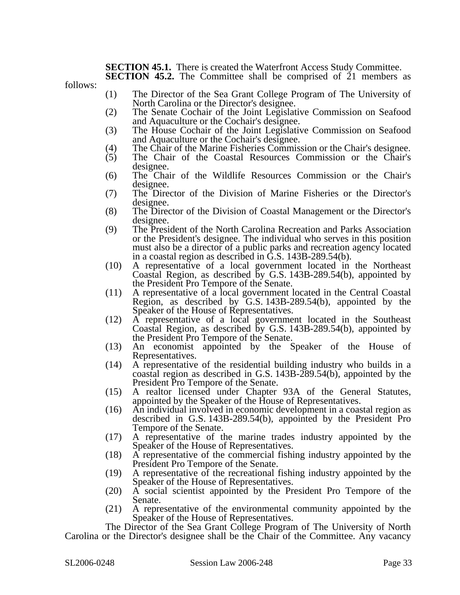### **SECTION 45.1.** There is created the Waterfront Access Study Committee.

**SECTION 45.2.** The Committee shall be comprised of 21 members as

follows:

- (1) The Director of the Sea Grant College Program of The University of North Carolina or the Director's designee.
- (2) The Senate Cochair of the Joint Legislative Commission on Seafood and Aquaculture or the Cochair's designee.
- (3) The House Cochair of the Joint Legislative Commission on Seafood and Aquaculture or the Cochair's designee.
- (4) The Chair of the Marine Fisheries Commission or the Chair's designee.<br>
(5) The Chair of the Coastal Resources Commission or the Chair's
- (5) The Chair of the Coastal Resources Commission or the Chair's designee.
- (6) The Chair of the Wildlife Resources Commission or the Chair's designee.
- (7) The Director of the Division of Marine Fisheries or the Director's designee.
- (8) The Director of the Division of Coastal Management or the Director's designee.
- (9) The President of the North Carolina Recreation and Parks Association or the President's designee. The individual who serves in this position must also be a director of a public parks and recreation agency located in a coastal region as described in G.S. 143B-289.54(b).
- (10) A representative of a local government located in the Northeast Coastal Region, as described by G.S. 143B-289.54(b), appointed by the President Pro Tempore of the Senate.
- (11) A representative of a local government located in the Central Coastal Region, as described by G.S. 143B-289.54(b), appointed by the Speaker of the House of Representatives.
- (12) A representative of a local government located in the Southeast Coastal Region, as described by G.S. 143B-289.54(b), appointed by the President Pro Tempore of the Senate.
- (13) An economist appointed by the Speaker of the House of Representatives.
- (14) A representative of the residential building industry who builds in a coastal region as described in G.S. 143B-289.54(b), appointed by the President Pro Tempore of the Senate.
- (15) A realtor licensed under Chapter 93A of the General Statutes, appointed by the Speaker of the House of Representatives.
- (16) An individual involved in economic development in a coastal region as described in G.S. 143B-289.54(b), appointed by the President Pro Tempore of the Senate.
- (17) A representative of the marine trades industry appointed by the Speaker of the House of Representatives.
- (18) A representative of the commercial fishing industry appointed by the President Pro Tempore of the Senate.
- (19) A representative of the recreational fishing industry appointed by the Speaker of the House of Representatives.
- (20) A social scientist appointed by the President Pro Tempore of the Senate.
- (21) A representative of the environmental community appointed by the Speaker of the House of Representatives.

The Director of the Sea Grant College Program of The University of North Carolina or the Director's designee shall be the Chair of the Committee. Any vacancy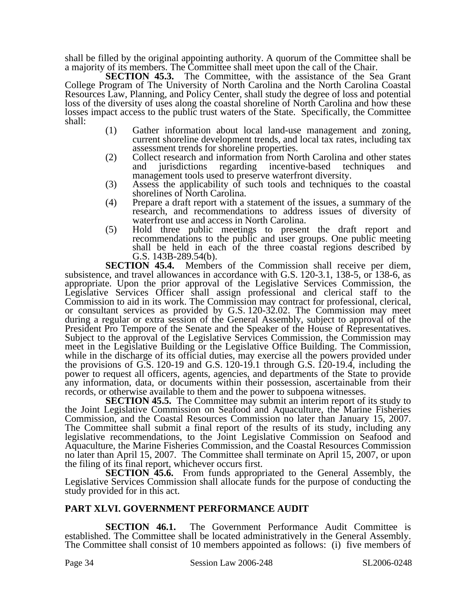shall be filled by the original appointing authority. A quorum of the Committee shall be a majority of its members. The Committee shall meet upon the call of the Chair.

**SECTION 45.3.** The Committee, with the assistance of the Sea Grant College Program of The University of North Carolina and the North Carolina Coastal Resources Law, Planning, and Policy Center, shall study the degree of loss and potential loss of the diversity of uses along the coastal shoreline of North Carolina and how these losses impact access to the public trust waters of the State. Specifically, the Committee shall:

- (1) Gather information about local land-use management and zoning, current shoreline development trends, and local tax rates, including tax assessment trends for shoreline properties.
- (2) Collect research and information from North Carolina and other states and jurisdictions regarding incentive-based techniques and management tools used to preserve waterfront diversity.
- (3) Assess the applicability of such tools and techniques to the coastal shorelines of North Carolina.
- (4) Prepare a draft report with a statement of the issues, a summary of the research, and recommendations to address issues of diversity of waterfront use and access in North Carolina.
- (5) Hold three public meetings to present the draft report and recommendations to the public and user groups. One public meeting shall be held in each of the three coastal regions described by G.S. 143B-289.54(b).

**SECTION 45.4.** Members of the Commission shall receive per diem, subsistence, and travel allowances in accordance with G.S. 120-3.1, 138-5, or 138-6, as appropriate. Upon the prior approval of the Legislative Services Commission, the Legislative Services Officer shall assign professional and clerical staff to the Commission to aid in its work. The Commission may contract for professional, clerical, or consultant services as provided by G.S. 120-32.02. The Commission may meet during a regular or extra session of the General Assembly, subject to approval of the President Pro Tempore of the Senate and the Speaker of the House of Representatives. Subject to the approval of the Legislative Services Commission, the Commission may meet in the Legislative Building or the Legislative Office Building. The Commission, while in the discharge of its official duties, may exercise all the powers provided under the provisions of G.S. 120-19 and G.S. 120-19.1 through G.S. 120-19.4, including the power to request all officers, agents, agencies, and departments of the State to provide any information, data, or documents within their possession, ascertainable from their records, or otherwise available to them and the power to subpoena witnesses.

**SECTION 45.5.** The Committee may submit an interim report of its study to the Joint Legislative Commission on Seafood and Aquaculture, the Marine Fisheries Commission, and the Coastal Resources Commission no later than January 15, 2007. The Committee shall submit a final report of the results of its study, including any legislative recommendations, to the Joint Legislative Commission on Seafood and Aquaculture, the Marine Fisheries Commission, and the Coastal Resources Commission no later than April 15, 2007. The Committee shall terminate on April 15, 2007, or upon the filing of its final report, whichever occurs first.

**SECTION 45.6.** From funds appropriated to the General Assembly, the Legislative Services Commission shall allocate funds for the purpose of conducting the study provided for in this act.

## **PART XLVI. GOVERNMENT PERFORMANCE AUDIT**

**SECTION 46.1.** The Government Performance Audit Committee is established. The Committee shall be located administratively in the General Assembly. The Committee shall consist of 10 members appointed as follows: (i) five members of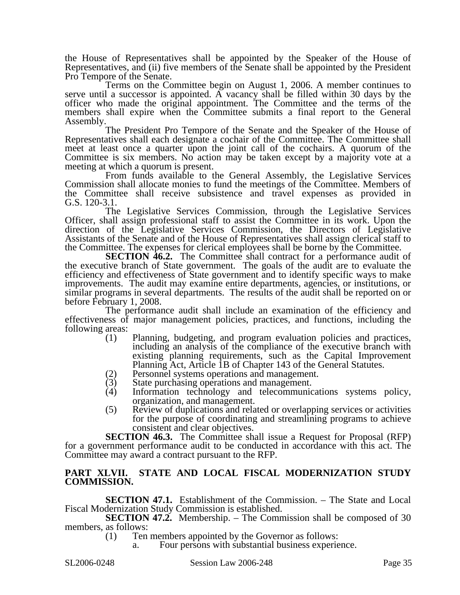the House of Representatives shall be appointed by the Speaker of the House of Representatives, and (ii) five members of the Senate shall be appointed by the President Pro Tempore of the Senate.

Terms on the Committee begin on August 1, 2006. A member continues to serve until a successor is appointed. A vacancy shall be filled within 30 days by the officer who made the original appointment. The Committee and the terms of the members shall expire when the Committee submits a final report to the General Assembly.

The President Pro Tempore of the Senate and the Speaker of the House of Representatives shall each designate a cochair of the Committee. The Committee shall meet at least once a quarter upon the joint call of the cochairs. A quorum of the Committee is six members. No action may be taken except by a majority vote at a meeting at which a quorum is present.

From funds available to the General Assembly, the Legislative Services Commission shall allocate monies to fund the meetings of the Committee. Members of the Committee shall receive subsistence and travel expenses as provided in G.S. 120-3.1.

The Legislative Services Commission, through the Legislative Services Officer, shall assign professional staff to assist the Committee in its work. Upon the direction of the Legislative Services Commission, the Directors of Legislative Assistants of the Senate and of the House of Representatives shall assign clerical staff to the Committee. The expenses for clerical employees shall be borne by the Committee.

**SECTION 46.2.** The Committee shall contract for a performance audit of the executive branch of State government. The goals of the audit are to evaluate the efficiency and effectiveness of State government and to identify specific ways to make improvements. The audit may examine entire departments, agencies, or institutions, or similar programs in several departments. The results of the audit shall be reported on or before February 1, 2008.

The performance audit shall include an examination of the efficiency and effectiveness of major management policies, practices, and functions, including the following areas:

- (1) Planning, budgeting, and program evaluation policies and practices, including an analysis of the compliance of the executive branch with existing planning requirements, such as the Capital Improvement Planning Act, Article 1B of Chapter 143 of the General Statutes.
- (2) Personnel systems operations and management.
- (3) State purchasing operations and management.<br>(4) Information technology and telecommunic
- Information technology and telecommunications systems policy, organization, and management.
- (5) Review of duplications and related or overlapping services or activities for the purpose of coordinating and streamlining programs to achieve consistent and clear objectives.

**SECTION 46.3.** The Committee shall issue a Request for Proposal (RFP) for a government performance audit to be conducted in accordance with this act. The Committee may award a contract pursuant to the RFP.

### **PART XLVII. STATE AND LOCAL FISCAL MODERNIZATION STUDY COMMISSION.**

**SECTION 47.1.** Establishment of the Commission. – The State and Local Fiscal Modernization Study Commission is established.

**SECTION 47.2.** Membership. – The Commission shall be composed of 30 members, as follows:

(1) Ten members appointed by the Governor as follows:

Four persons with substantial business experience.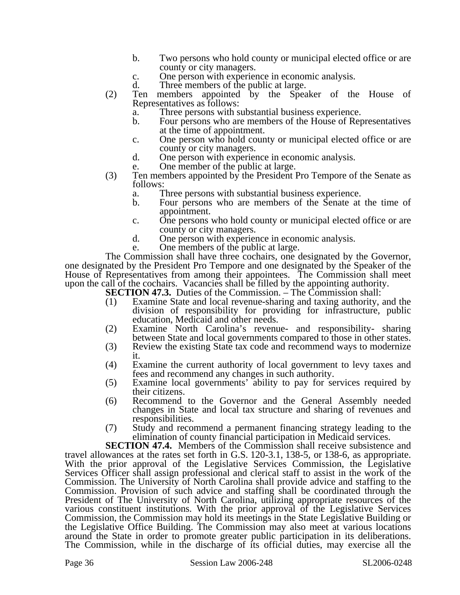- b. Two persons who hold county or municipal elected office or are county or city managers.
- c. One person with experience in economic analysis.
- d. Three members of the public at large.
- (2) Ten members appointed by the Speaker of the House of Representatives as follows:
	- a. Three persons with substantial business experience.
	- b. Four persons who are members of the House of Representatives at the time of appointment.
	- c. One person who hold county or municipal elected office or are county or city managers.
	- d. One person with experience in economic analysis.
	- e. One member of the public at large.
- (3) Ten members appointed by the President Pro Tempore of the Senate as follows:
	- a. Three persons with substantial business experience.
	- b. Four persons who are members of the Senate at the time of appointment.
	- c. One persons who hold county or municipal elected office or are county or city managers.
	- d. One person with experience in economic analysis.
	- e. One members of the public at large.

The Commission shall have three cochairs, one designated by the Governor, one designated by the President Pro Tempore and one designated by the Speaker of the House of Representatives from among their appointees. The Commission shall meet upon the call of the cochairs. Vacancies shall be filled by the appointing authority.

**SECTION 47.3.** Duties of the Commission. – The Commission shall:

- (1) Examine State and local revenue-sharing and taxing authority, and the division of responsibility for providing for infrastructure, public education, Medicaid and other needs.
- (2) Examine North Carolina's revenue- and responsibility- sharing between State and local governments compared to those in other states.
- (3) Review the existing State tax code and recommend ways to modernize it.
- (4) Examine the current authority of local government to levy taxes and fees and recommend any changes in such authority.
- (5) Examine local governments' ability to pay for services required by their citizens.
- (6) Recommend to the Governor and the General Assembly needed changes in State and local tax structure and sharing of revenues and responsibilities.
- (7) Study and recommend a permanent financing strategy leading to the elimination of county financial participation in Medicaid services.

**SECTION 47.4.** Members of the Commission shall receive subsistence and travel allowances at the rates set forth in G.S. 120-3.1, 138-5, or 138-6, as appropriate. With the prior approval of the Legislative Services Commission, the Legislative Services Officer shall assign professional and clerical staff to assist in the work of the Commission. The University of North Carolina shall provide advice and staffing to the Commission. Provision of such advice and staffing shall be coordinated through the President of The University of North Carolina, utilizing appropriate resources of the various constituent institutions. With the prior approval of the Legislative Services Commission, the Commission may hold its meetings in the State Legislative Building or the Legislative Office Building. The Commission may also meet at various locations around the State in order to promote greater public participation in its deliberations. The Commission, while in the discharge of its official duties, may exercise all the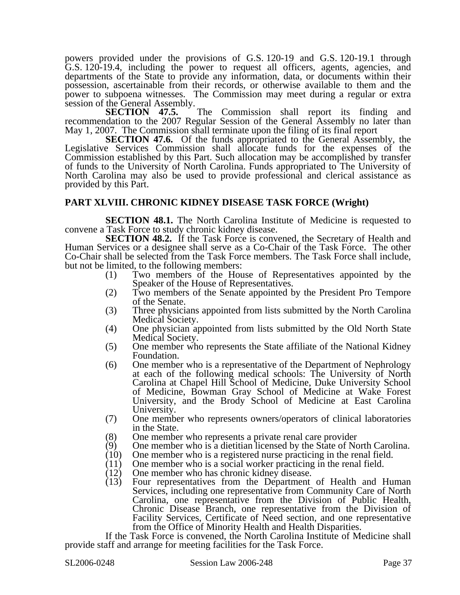powers provided under the provisions of G.S. 120-19 and G.S. 120-19.1 through G.S. 120-19.4, including the power to request all officers, agents, agencies, and departments of the State to provide any information, data, or documents within their possession, ascertainable from their records, or otherwise available to them and the power to subpoena witnesses. The Commission may meet during a regular or extra session of the General Assembly.<br>SECTION 47.5.

The Commission shall report its finding and recommendation to the 2007 Regular Session of the General Assembly no later than May 1, 2007. The Commission shall terminate upon the filing of its final report

**SECTION 47.6.** Of the funds appropriated to the General Assembly, the Legislative Services Commission shall allocate funds for the expenses of the Commission established by this Part. Such allocation may be accomplished by transfer of funds to the University of North Carolina. Funds appropriated to The University of North Carolina may also be used to provide professional and clerical assistance as provided by this Part.

### **PART XLVIII. CHRONIC KIDNEY DISEASE TASK FORCE (Wright)**

**SECTION 48.1.** The North Carolina Institute of Medicine is requested to convene a Task Force to study chronic kidney disease.

**SECTION 48.2.** If the Task Force is convened, the Secretary of Health and Human Services or a designee shall serve as a Co-Chair of the Task Force. The other Co-Chair shall be selected from the Task Force members. The Task Force shall include, but not be limited, to the following members:

- (1) Two members of the House of Representatives appointed by the Speaker of the House of Representatives.
- (2) Two members of the Senate appointed by the President Pro Tempore of the Senate.
- (3) Three physicians appointed from lists submitted by the North Carolina Medical Society.
- (4) One physician appointed from lists submitted by the Old North State Medical Society.
- (5) One member who represents the State affiliate of the National Kidney Foundation.
- (6) One member who is a representative of the Department of Nephrology at each of the following medical schools: The University of North Carolina at Chapel Hill School of Medicine, Duke University School of Medicine, Bowman Gray School of Medicine at Wake Forest University, and the Brody School of Medicine at East Carolina University.
- (7) One member who represents owners/operators of clinical laboratories in the State.
- 
- (8) One member who represents a private renal care provider (9) One member who is a dietitian licensed by the State of No (9) One member who is a dietitian licensed by the State of North Carolina.<br>(10) One member who is a registered nurse practicing in the renal field.
- One member who is a registered nurse practicing in the renal field.
- (11) One member who is a social worker practicing in the renal field.<br>(12) One member who has chronic kidney disease.
- (12) One member who has chronic kidney disease.<br>(13) Four representatives from the Department
- Four representatives from the Department of Health and Human Services, including one representative from Community Care of North Carolina, one representative from the Division of Public Health, Chronic Disease Branch, one representative from the Division of Facility Services, Certificate of Need section, and one representative from the Office of Minority Health and Health Disparities.

If the Task Force is convened, the North Carolina Institute of Medicine shall provide staff and arrange for meeting facilities for the Task Force.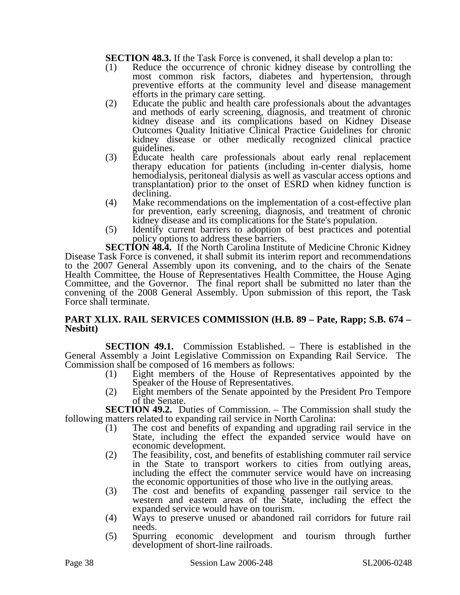**SECTION 48.3.** If the Task Force is convened, it shall develop a plan to:

- (1) Reduce the occurrence of chronic kidney disease by controlling the most common risk factors, diabetes and hypertension, through preventive efforts at the community level and disease management efforts in the primary care setting.
- (2) Educate the public and health care professionals about the advantages and methods of early screening, diagnosis, and treatment of chronic kidney disease and its complications based on Kidney Disease Outcomes Quality Initiative Clinical Practice Guidelines for chronic kidney disease or other medically recognized clinical practice guidelines.
- (3) Educate health care professionals about early renal replacement therapy education for patients (including in-center dialysis, home hemodialysis, peritoneal dialysis as well as vascular access options and transplantation) prior to the onset of ESRD when kidney function is declining.
- (4) Make recommendations on the implementation of a cost-effective plan for prevention, early screening, diagnosis, and treatment of chronic kidney disease and its complications for the State's population.
- (5) Identify current barriers to adoption of best practices and potential policy options to address these barriers.

**SECTION 48.4.** If the North Carolina Institute of Medicine Chronic Kidney Disease Task Force is convened, it shall submit its interim report and recommendations to the 2007 General Assembly upon its convening, and to the chairs of the Senate Health Committee, the House of Representatives Health Committee, the House Aging Committee, and the Governor. The final report shall be submitted no later than the convening of the 2008 General Assembly. Upon submission of this report, the Task Force shall terminate.

### **PART XLIX. RAIL SERVICES COMMISSION (H.B. 89 – Pate, Rapp; S.B. 674 – Nesbitt)**

**SECTION 49.1.** Commission Established. – There is established in the General Assembly a Joint Legislative Commission on Expanding Rail Service. The Commission shall be composed of 16 members as follows:

- (1) Eight members of the House of Representatives appointed by the Speaker of the House of Representatives.
- (2) Eight members of the Senate appointed by the President Pro Tempore of the Senate.

**SECTION 49.2.** Duties of Commission. – The Commission shall study the following matters related to expanding rail service in North Carolina:

- (1) The cost and benefits of expanding and upgrading rail service in the State, including the effect the expanded service would have on economic development.
- (2) The feasibility, cost, and benefits of establishing commuter rail service in the State to transport workers to cities from outlying areas, including the effect the commuter service would have on increasing the economic opportunities of those who live in the outlying areas.
- (3) The cost and benefits of expanding passenger rail service to the western and eastern areas of the State, including the effect the expanded service would have on tourism.
- (4) Ways to preserve unused or abandoned rail corridors for future rail needs.
- (5) Spurring economic development and tourism through further development of short-line railroads.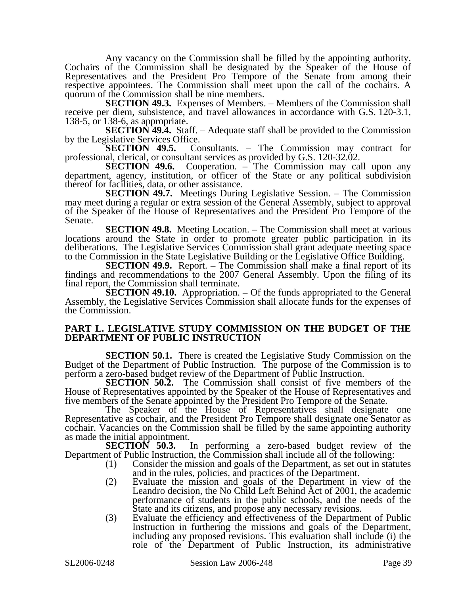Any vacancy on the Commission shall be filled by the appointing authority. Cochairs of the Commission shall be designated by the Speaker of the House of Representatives and the President Pro Tempore of the Senate from among their respective appointees. The Commission shall meet upon the call of the cochairs. A quorum of the Commission shall be nine members.

**SECTION 49.3.** Expenses of Members. – Members of the Commission shall receive per diem, subsistence, and travel allowances in accordance with G.S. 120-3.1, 138-5, or 138-6, as appropriate.

**SECTION 49.4.** Staff. – Adequate staff shall be provided to the Commission

by the Legislative Services Office.<br>**SECTION 49.5.** Co. Consultants. – The Commission may contract for professional, clerical, or consultant services as provided by G.S. 120-32.02.

**SECTION 49.6.** Cooperation. – The Commission may call upon any department, agency, institution, or officer of the State or any political subdivision thereof for facilities, data, or other assistance.

**SECTION 49.7.** Meetings During Legislative Session. – The Commission may meet during a regular or extra session of the General Assembly, subject to approval of the Speaker of the House of Representatives and the President Pro Tempore of the Senate.

**SECTION 49.8.** Meeting Location. – The Commission shall meet at various locations around the State in order to promote greater public participation in its deliberations. The Legislative Services Commission shall grant adequate meeting space to the Commission in the State Legislative Building or the Legislative Office Building.

**SECTION 49.9.** Report. – The Commission shall make a final report of its findings and recommendations to the 2007 General Assembly. Upon the filing of its final report, the Commission shall terminate.

**SECTION 49.10.** Appropriation. – Of the funds appropriated to the General Assembly, the Legislative Services Commission shall allocate funds for the expenses of the Commission.

### **PART L. LEGISLATIVE STUDY COMMISSION ON THE BUDGET OF THE DEPARTMENT OF PUBLIC INSTRUCTION**

**SECTION 50.1.** There is created the Legislative Study Commission on the Budget of the Department of Public Instruction. The purpose of the Commission is to perform a zero-based budget review of the Department of Public Instruction.

**SECTION 50.2.** The Commission shall consist of five members of the House of Representatives appointed by the Speaker of the House of Representatives and five members of the Senate appointed by the President Pro Tempore of the Senate.

The Speaker of the House of Representatives shall designate one Representative as cochair, and the President Pro Tempore shall designate one Senator as cochair. Vacancies on the Commission shall be filled by the same appointing authority as made the initial appointment.<br>**SECTION 50.3.** 

In performing a zero-based budget review of the Department of Public Instruction, the Commission shall include all of the following:

- (1) Consider the mission and goals of the Department, as set out in statutes and in the rules, policies, and practices of the Department.
- (2) Evaluate the mission and goals of the Department in view of the Leandro decision, the No Child Left Behind Act of 2001, the academic performance of students in the public schools, and the needs of the State and its citizens, and propose any necessary revisions.
- (3) Evaluate the efficiency and effectiveness of the Department of Public Instruction in furthering the missions and goals of the Department, including any proposed revisions. This evaluation shall include (i) the role of the Department of Public Instruction, its administrative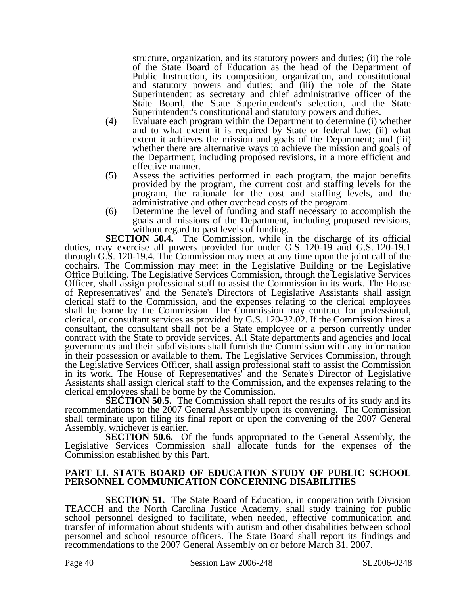structure, organization, and its statutory powers and duties; (ii) the role of the State Board of Education as the head of the Department of Public Instruction, its composition, organization, and constitutional and statutory powers and duties; and (iii) the role of the State Superintendent as secretary and chief administrative officer of the State Board, the State Superintendent's selection, and the State Superintendent's constitutional and statutory powers and duties.

- (4) Evaluate each program within the Department to determine (i) whether and to what extent it is required by State or federal law; (ii) what extent it achieves the mission and goals of the Department; and (iii) whether there are alternative ways to achieve the mission and goals of the Department, including proposed revisions, in a more efficient and effective manner.
- (5) Assess the activities performed in each program, the major benefits provided by the program, the current cost and staffing levels for the program, the rationale for the cost and staffing levels, and the administrative and other overhead costs of the program.
- (6) Determine the level of funding and staff necessary to accomplish the goals and missions of the Department, including proposed revisions, without regard to past levels of funding.

**SECTION 50.4.** The Commission, while in the discharge of its official duties, may exercise all powers provided for under G.S. 120-19 and G.S. 120-19.1 through G.S. 120-19.4. The Commission may meet at any time upon the joint call of the cochairs. The Commission may meet in the Legislative Building or the Legislative Office Building. The Legislative Services Commission, through the Legislative Services Officer, shall assign professional staff to assist the Commission in its work. The House of Representatives' and the Senate's Directors of Legislative Assistants shall assign clerical staff to the Commission, and the expenses relating to the clerical employees shall be borne by the Commission. The Commission may contract for professional, clerical, or consultant services as provided by G.S. 120-32.02. If the Commission hires a consultant, the consultant shall not be a State employee or a person currently under contract with the State to provide services. All State departments and agencies and local governments and their subdivisions shall furnish the Commission with any information in their possession or available to them. The Legislative Services Commission, through the Legislative Services Officer, shall assign professional staff to assist the Commission in its work. The House of Representatives' and the Senate's Director of Legislative Assistants shall assign clerical staff to the Commission, and the expenses relating to the clerical employees shall be borne by the Commission.

**SECTION 50.5.** The Commission shall report the results of its study and its recommendations to the 2007 General Assembly upon its convening. The Commission shall terminate upon filing its final report or upon the convening of the 2007 General Assembly, whichever is earlier.

**SECTION 50.6.** Of the funds appropriated to the General Assembly, the Legislative Services Commission shall allocate funds for the expenses of the Commission established by this Part.

### **PART LI. STATE BOARD OF EDUCATION STUDY OF PUBLIC SCHOOL PERSONNEL COMMUNICATION CONCERNING DISABILITIES**

**SECTION 51.** The State Board of Education, in cooperation with Division TEACCH and the North Carolina Justice Academy, shall study training for public school personnel designed to facilitate, when needed, effective communication and transfer of information about students with autism and other disabilities between school personnel and school resource officers. The State Board shall report its findings and recommendations to the 2007 General Assembly on or before March 31, 2007.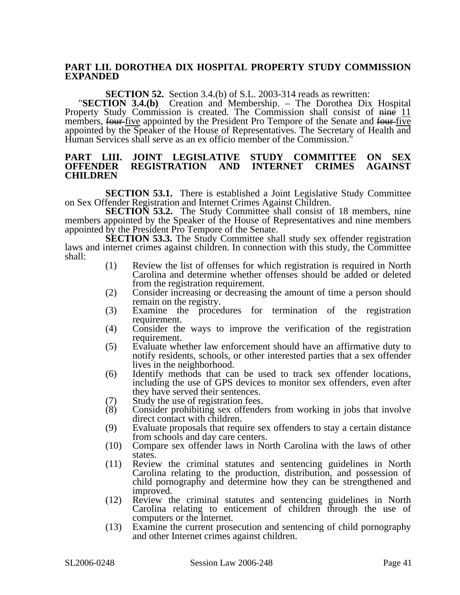### **PART LII. DOROTHEA DIX HOSPITAL PROPERTY STUDY COMMISSION EXPANDED**

**SECTION 52.** Section 3.4.(b) of S.L. 2003-314 reads as rewritten: "**SECTION 3.4.(b)** Creation and Membership. – The Dorothea Dix Hospital Property Study Commission is created. The Commission shall consist of nine 11 members, four five appointed by the President Pro Tempore of the Senate and four five appointed by the Speaker of the House of Representatives. The Secretary of Health and Human Services shall serve as an ex officio member of the Commission."

#### **PART LIII. JOINT LEGISLATIVE STUDY COMMITTEE ON SEX REGISTRATION AND CHILDREN**

**SECTION 53.1.** There is established a Joint Legislative Study Committee on Sex Offender Registration and Internet Crimes Against Children.

**SECTION 53.2.** The Study Committee shall consist of 18 members, nine members appointed by the Speaker of the House of Representatives and nine members appointed by the President Pro Tempore of the Senate.

**SECTION 53.3.** The Study Committee shall study sex offender registration laws and internet crimes against children. In connection with this study, the Committee shall:

- (1) Review the list of offenses for which registration is required in North Carolina and determine whether offenses should be added or deleted from the registration requirement.
- (2) Consider increasing or decreasing the amount of time a person should remain on the registry.
- (3) Examine the procedures for termination of the registration requirement.
- (4) Consider the ways to improve the verification of the registration requirement.
- (5) Evaluate whether law enforcement should have an affirmative duty to notify residents, schools, or other interested parties that a sex offender lives in the neighborhood.
- (6) Identify methods that can be used to track sex offender locations, including the use of GPS devices to monitor sex offenders, even after they have served their sentences.
- (7) Study the use of registration fees.<br>(8) Consider prohibiting sex offende
- Consider prohibiting sex offenders from working in jobs that involve direct contact with children.
- (9) Evaluate proposals that require sex offenders to stay a certain distance from schools and day care centers.
- (10) Compare sex offender laws in North Carolina with the laws of other states.
- (11) Review the criminal statutes and sentencing guidelines in North Carolina relating to the production, distribution, and possession of child pornography and determine how they can be strengthened and improved.
- (12) Review the criminal statutes and sentencing guidelines in North Carolina relating to enticement of children through the use of computers or the Internet.
- (13) Examine the current prosecution and sentencing of child pornography and other Internet crimes against children.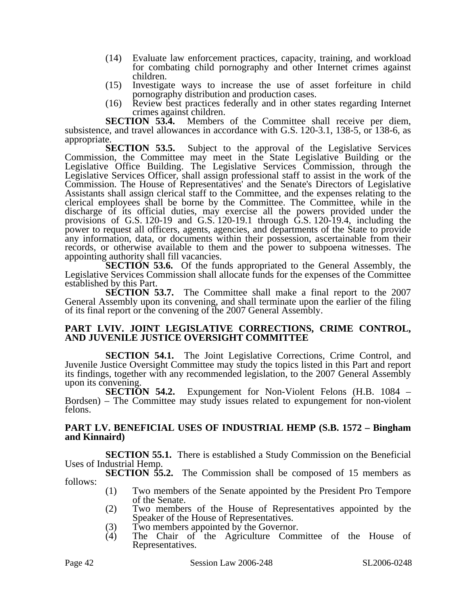- (14) Evaluate law enforcement practices, capacity, training, and workload for combating child pornography and other Internet crimes against children.
- (15) Investigate ways to increase the use of asset forfeiture in child pornography distribution and production cases.
- (16) Review best practices federally and in other states regarding Internet crimes against children.

**SECTION 53.4.** Members of the Committee shall receive per diem, subsistence, and travel allowances in accordance with G.S. 120-3.1, 138-5, or 138-6, as

appropriate.<br>**SECTION 53.5.** Subject to the approval of the Legislative Services Commission, the Committee may meet in the State Legislative Building or the Legislative Office Building. The Legislative Services Commission, through the Legislative Services Officer, shall assign professional staff to assist in the work of the Commission. The House of Representatives' and the Senate's Directors of Legislative Assistants shall assign clerical staff to the Committee, and the expenses relating to the clerical employees shall be borne by the Committee. The Committee, while in the discharge of its official duties, may exercise all the powers provided under the provisions of G.S. 120-19 and G.S. 120-19.1 through G.S. 120-19.4, including the power to request all officers, agents, agencies, and departments of the State to provide any information, data, or documents within their possession, ascertainable from their records, or otherwise available to them and the power to subpoena witnesses. The appointing authority shall fill vacancies.

**SECTION 53.6.** Of the funds appropriated to the General Assembly, the Legislative Services Commission shall allocate funds for the expenses of the Committee established by this Part.

**SECTION 53.7.** The Committee shall make a final report to the 2007 General Assembly upon its convening, and shall terminate upon the earlier of the filing of its final report or the convening of the 2007 General Assembly.

### **PART LVIV. JOINT LEGISLATIVE CORRECTIONS, CRIME CONTROL, AND JUVENILE JUSTICE OVERSIGHT COMMITTEE**

**SECTION 54.1.** The Joint Legislative Corrections, Crime Control, and Juvenile Justice Oversight Committee may study the topics listed in this Part and report its findings, together with any recommended legislation, to the 2007 General Assembly upon its convening.

**SECTION 54.2.** Expungement for Non-Violent Felons (H.B. 1084 – Bordsen) – The Committee may study issues related to expungement for non-violent felons.

### **PART LV. BENEFICIAL USES OF INDUSTRIAL HEMP (S.B. 1572 – Bingham and Kinnaird)**

**SECTION 55.1.** There is established a Study Commission on the Beneficial Uses of Industrial Hemp.

**SECTION 55.2.** The Commission shall be composed of 15 members as follows:

- (1) Two members of the Senate appointed by the President Pro Tempore of the Senate.
- (2) Two members of the House of Representatives appointed by the Speaker of the House of Representatives.
- (3) Two members appointed by the Governor.<br>
(4) The Chair of the Agriculture Comm
- The Chair of the Agriculture Committee of the House of Representatives.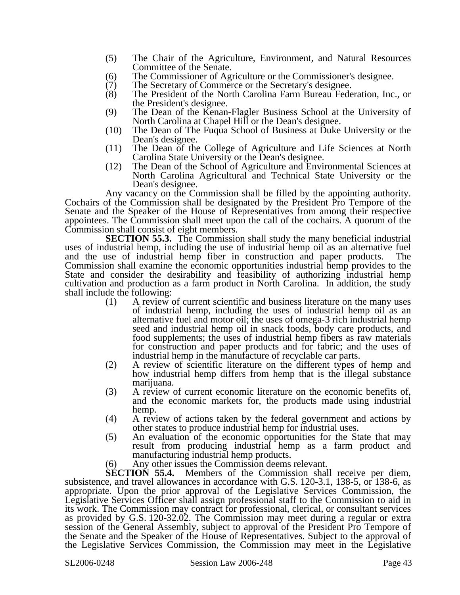- (5) The Chair of the Agriculture, Environment, and Natural Resources Committee of the Senate.
- (6) The Commissioner of Agriculture or the Commissioner's designee.
- (7) The Secretary of Commerce or the Secretary's designee.
- (8) The President of the North Carolina Farm Bureau Federation, Inc., or the President's designee.
- (9) The Dean of the Kenan-Flagler Business School at the University of North Carolina at Chapel Hill or the Dean's designee.
- (10) The Dean of The Fuqua School of Business at Duke University or the Dean's designee.
- (11) The Dean of the College of Agriculture and Life Sciences at North Carolina State University or the Dean's designee.
- (12) The Dean of the School of Agriculture and Environmental Sciences at North Carolina Agricultural and Technical State University or the Dean's designee.

Any vacancy on the Commission shall be filled by the appointing authority. Cochairs of the Commission shall be designated by the President Pro Tempore of the Senate and the Speaker of the House of Representatives from among their respective appointees. The Commission shall meet upon the call of the cochairs. A quorum of the Commission shall consist of eight members.

**SECTION 55.3.** The Commission shall study the many beneficial industrial uses of industrial hemp, including the use of industrial hemp oil as an alternative fuel and the use of industrial hemp fiber in construction and paper products. The Commission shall examine the economic opportunities industrial hemp provides to the State and consider the desirability and feasibility of authorizing industrial hemp cultivation and production as a farm product in North Carolina. In addition, the study shall include the following:

- (1) A review of current scientific and business literature on the many uses of industrial hemp, including the uses of industrial hemp oil as an alternative fuel and motor oil; the uses of omega-3 rich industrial hemp seed and industrial hemp oil in snack foods, body care products, and food supplements; the uses of industrial hemp fibers as raw materials for construction and paper products and for fabric; and the uses of industrial hemp in the manufacture of recyclable car parts.
- (2) A review of scientific literature on the different types of hemp and how industrial hemp differs from hemp that is the illegal substance marijuana.
- (3) A review of current economic literature on the economic benefits of, and the economic markets for, the products made using industrial hemp.
- (4) A review of actions taken by the federal government and actions by other states to produce industrial hemp for industrial uses.
- (5) An evaluation of the economic opportunities for the State that may result from producing industrial hemp as a farm product and manufacturing industrial hemp products.
- (6) Any other issues the Commission deems relevant.<br>**SECTION 55.4.** Members of the Commission shal

Members of the Commission shall receive per diem, subsistence, and travel allowances in accordance with G.S. 120-3.1, 138-5, or 138-6, as appropriate. Upon the prior approval of the Legislative Services Commission, the Legislative Services Officer shall assign professional staff to the Commission to aid in its work. The Commission may contract for professional, clerical, or consultant services as provided by G.S. 120-32.02. The Commission may meet during a regular or extra session of the General Assembly, subject to approval of the President Pro Tempore of the Senate and the Speaker of the House of Representatives. Subject to the approval of the Legislative Services Commission, the Commission may meet in the Legislative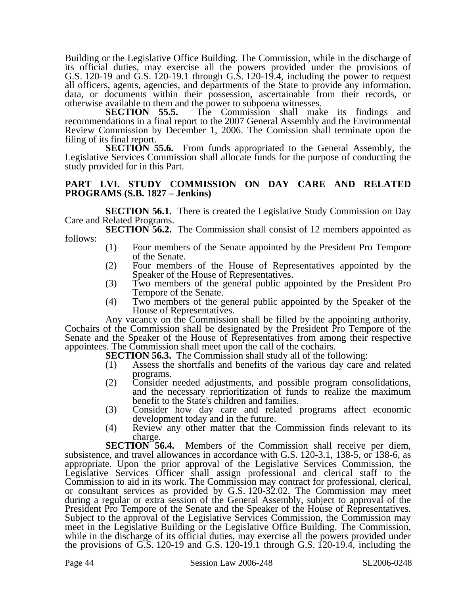Building or the Legislative Office Building. The Commission, while in the discharge of its official duties, may exercise all the powers provided under the provisions of G.S. 120-19 and G.S.  $120-19.1$  through G.S. 120-19.4, including the power to request all officers, agents, agencies, and departments of the State to provide any information, data, or documents within their possession, ascertainable from their records, or otherwise available to them and the power to subpoena witnesses.<br>**SECTION** 55.5. The Commission shall mak

The Commission shall make its findings and recommendations in a final report to the 2007 General Assembly and the Environmental Review Commission by December 1, 2006. The Comission shall terminate upon the filing of its final report.

**SECTION 55.6.** From funds appropriated to the General Assembly, the Legislative Services Commission shall allocate funds for the purpose of conducting the study provided for in this Part.

### **PART LVI. STUDY COMMISSION ON DAY CARE AND RELATED PROGRAMS (S.B. 1827 – Jenkins)**

**SECTION 56.1.** There is created the Legislative Study Commission on Day Care and Related Programs.

**SECTION 56.2.** The Commission shall consist of 12 members appointed as follows:

- (1) Four members of the Senate appointed by the President Pro Tempore of the Senate.
- (2) Four members of the House of Representatives appointed by the Speaker of the House of Representatives.
- (3) Two members of the general public appointed by the President Pro Tempore of the Senate.
- (4) Two members of the general public appointed by the Speaker of the House of Representatives.

Any vacancy on the Commission shall be filled by the appointing authority. Cochairs of the Commission shall be designated by the President Pro Tempore of the Senate and the Speaker of the House of Representatives from among their respective appointees. The Commission shall meet upon the call of the cochairs.

**SECTION 56.3.** The Commission shall study all of the following:

- (1) Assess the shortfalls and benefits of the various day care and related programs.
- (2) Consider needed adjustments, and possible program consolidations, and the necessary reprioritization of funds to realize the maximum benefit to the State's children and families.
- (3) Consider how day care and related programs affect economic development today and in the future.
- (4) Review any other matter that the Commission finds relevant to its

charge.<br>SECTION 56.4. Members of the Commission shall receive per diem, subsistence, and travel allowances in accordance with G.S. 120-3.1, 138-5, or 138-6, as appropriate. Upon the prior approval of the Legislative Services Commission, the Legislative Services Officer shall assign professional and clerical staff to the Commission to aid in its work. The Commission may contract for professional, clerical, or consultant services as provided by G.S. 120-32.02. The Commission may meet during a regular or extra session of the General Assembly, subject to approval of the President Pro Tempore of the Senate and the Speaker of the House of Representatives. Subject to the approval of the Legislative Services Commission, the Commission may meet in the Legislative Building or the Legislative Office Building. The Commission, while in the discharge of its official duties, may exercise all the powers provided under the provisions of G.S. 120-19 and G.S. 120-19.1 through G.S. 120-19.4, including the